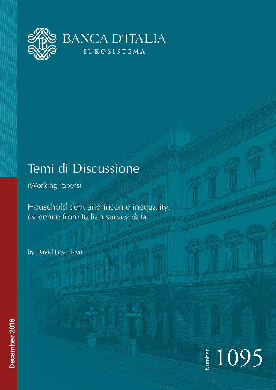

# Temi di Discussione

(Working Papers)

Household debt and income inequality: evidence from Italian survey data

by David Loschiavo

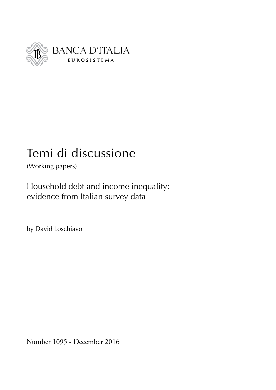

# Temi di discussione

(Working papers)

Household debt and income inequality: evidence from Italian survey data

by David Loschiavo

Number 1095 - December 2016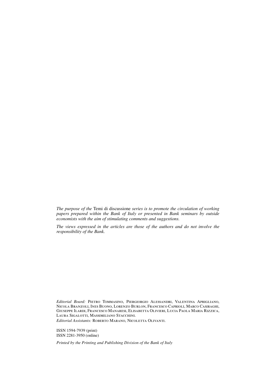*The purpose of the* Temi di discussione *series is to promote the circulation of working papers prepared within the Bank of Italy or presented in Bank seminars by outside economists with the aim of stimulating comments and suggestions.*

*The views expressed in the articles are those of the authors and do not involve the responsibility of the Bank.*

*Editorial Board:* Pietro Tommasino, Piergiorgio Alessandri, Valentina Aprigliano, Nicola Branzoli, Ines Buono, Lorenzo Burlon, Francesco Caprioli, Marco Casiraghi, Giuseppe Ilardi, Francesco Manaresi, Elisabetta Olivieri, Lucia Paola Maria Rizzica, Laura Sigalotti, Massimiliano Stacchini. *Editorial Assistants:* Roberto Marano, Nicoletta Olivanti.

ISSN 1594-7939 (print)

ISSN 2281-3950 (online)

*Printed by the Printing and Publishing Division of the Bank of Italy*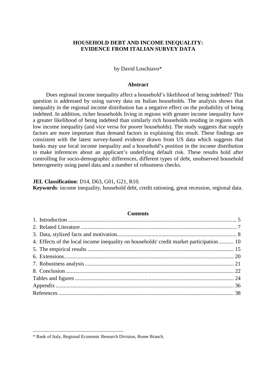# **HOUSEHOLD DEBT AND INCOME INEQUALITY: EVIDENCE FROM ITALIAN SURVEY DATA**

#### by David Loschiavo\*

#### **Abstract**

Does regional income inequality affect a household's likelihood of being indebted? This question is addressed by using survey data on Italian households. The analysis shows that inequality in the regional income distribution has a negative effect on the probability of being indebted. In addition, richer households living in regions with greater income inequality have a greater likelihood of being indebted than similarly rich households residing in regions with low income inequality (and vice versa for poorer households). The study suggests that supply factors are more important than demand factors in explaining this result. These findings are consistent with the latest survey-based evidence drawn from US data which suggests that banks may use local income inequality and a household's position in the income distribution to make inferences about an applicant's underlying default risk. These results hold after controlling for socio-demographic differences, different types of debt, unobserved household heterogeneity using panel data and a number of robustness checks.

#### **JEL Classification**: D14, D63, G01, G21, R10.

**Keywords**: income inequality, household debt, credit rationing, great recession, regional data.

| — Сопіснік                                                                              |  |
|-----------------------------------------------------------------------------------------|--|
|                                                                                         |  |
|                                                                                         |  |
|                                                                                         |  |
| 4. Effects of the local income inequality on households' credit market participation 10 |  |
|                                                                                         |  |
|                                                                                         |  |
|                                                                                         |  |
|                                                                                         |  |
|                                                                                         |  |
|                                                                                         |  |
|                                                                                         |  |
|                                                                                         |  |

## $C = 1$

\_\_\_\_\_\_\_\_\_\_\_\_\_\_\_\_\_\_\_\_\_\_\_\_\_\_\_\_\_\_\_\_\_\_\_\_\_\_\_

<sup>\*</sup> Bank of Italy, Regional Economic Research Division, Rome Branch.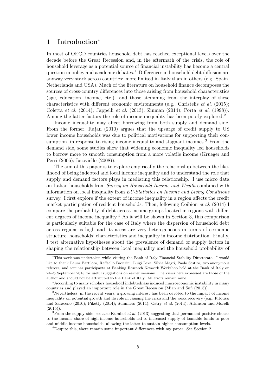## 1 Introduction[∗](#page-6-0)

In most of OECD countries household debt has reached exceptional levels over the decade before the Great Recession and, in the aftermath of the crisis, the role of household leverage as a potential source of financial instability has become a central question in policy and academic debates.[1](#page-6-1) Differences in household debt diffusion are anyway very stark across countries: more limited in Italy than in others (e.g. Spain, Netherlands and USA). Much of the literature on household finance decomposes the sources of cross-country differences into those arising from household characteristics (age, education, income, etc.) and those stemming from the interplay of these characteristics with different economic environments (e.g., [Christelis](#page-40-0) *et al.* [\(2015\)](#page-40-0); [Coletta](#page-40-1) et al. [\(2014\)](#page-40-1); [Jappelli](#page-41-0) et al. [\(2013\)](#page-41-0); [Zinman](#page-43-0) [\(2014\)](#page-43-0); [Porta](#page-42-0) et al. [\(1998\)](#page-42-0)). Among the latter factors the role of income inequality has been poorly explored.<sup>[2](#page-6-2)</sup>

Income inequality may affect borrowing from both supply and demand side. From the former, [Rajan](#page-42-1) [\(2010\)](#page-42-1) argues that the upsurge of credit supply to US lower income households was due to political motivations for supporting their con-sumption, in response to rising income inequality and stagnant incomes.<sup>[3](#page-6-3)</sup> From the demand side, some studies show that widening economic inequality led households to borrow more to smooth consumption from a more volatile income [\(Krueger and](#page-42-2) [Perri](#page-42-2) [\(2006\)](#page-42-2); [Iacoviello](#page-41-1) [\(2008\)](#page-41-1)).

The aim of this paper is to explore empirically the relationship between the likelihood of being indebted and local income inequality and to understand the role that supply and demand factors plays in mediating this relationship. I use micro data on Italian households from Survey on Household Income and Wealth combined with information on local inequality from EU-Statistics on Income and Living Conditions survey. I first explore if the extent of income inequality in a region affects the credit market participation of resident households. Then, following [Coibion](#page-40-2) et al. [\(2014\)](#page-40-2) I compare the probability of debt across income groups located in regions with differ-ent degrees of income inequality.<sup>[4](#page-6-4)</sup> As it will be shown in Section [3,](#page-9-0) this comparison is particularly suitable for the case of Italy where the dispersion of household debt across regions is high and its areas are very heterogeneous in terms of economic structure, households' characteristics and inequality in income distribution. Finally, I test alternative hypotheses about the prevalence of demand or supply factors in shaping the relationship between local inequality and the household probability of

<span id="page-6-0"></span><sup>∗</sup>This work was undertaken while visiting the Bank of Italy Financial Stability Directorate. I would like to thank Laura Bartiloro, Raffaello Bronzini, Luigi Leva, Silvia Magri, Paolo Sestito, two anonymous referees, and seminar participants at Banking Research Network Workshop held at the Bank of Italy on 24-25 September 2015 for useful suggestions on earlier versions. The views here expressed are those of the author and should not be attributed to the Bank of Italy. All errors remain mine.

<span id="page-6-1"></span> $1$  According to many scholars household indebtedness induced macroeconomic instability in many countries and played an important role in the Great Recession [\(Mian and Sufi](#page-42-3) [\(2015\)](#page-42-3)).

<span id="page-6-2"></span> $2$ Nevertheless, in the recent years, a growing interest has been devoted to the impact of income inequality on potential growth and its role in causing the crisis and the weak recovery (e.g., [Fitoussi](#page-41-2) [and Saraceno](#page-41-2) [\(2010\)](#page-41-2); [Piketty](#page-42-4) [\(2014\)](#page-42-4); [Summers](#page-43-1) [\(2014\)](#page-43-1); [Ostry](#page-42-5) et al. [\(2014\)](#page-42-5); [Atkinson and Morelli](#page-39-0)  $(2015)$ ).

<span id="page-6-3"></span> $3$ From the supply-side, see also [Kumhof](#page-42-6) *et al.* [\(2013\)](#page-42-6) suggesting that permanent positive shocks to the income share of high-income households led to increased supply of loanable funds to poor and middle-income households, allowing the latter to sustain higher consumption levels.

<span id="page-6-4"></span><sup>4</sup>Despite this, there remain some important differences with my paper. See Section [2.](#page-8-0)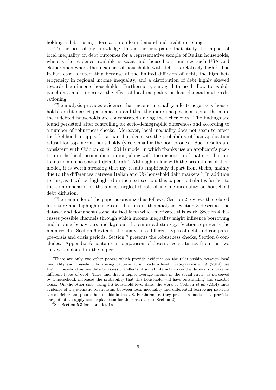holding a debt, using information on loan demand and credit rationing.

To the best of my knowledge, this is the first paper that study the impact of local inequality on debt outcomes for a representative sample of Italian households, whereas the evidence available is scant and focused on countries such USA and Netherlands where the incidence of households with debts is relatively high.<sup>[5](#page-7-0)</sup> The Italian case is interesting because of the limited diffusion of debt, the high heterogeneity in regional income inequality, and a distribution of debt highly skewed towards high-income households. Furthermore, survey data used allow to exploit panel data and to observe the effect of local inequality on loan demand and credit rationing.

The analysis provides evidence that income inequality affects negatively households' credit market participation and that the more unequal is a region the more the indebted households are concentrated among the richer ones. The findings are found persistent after controlling for socio-demographic differences and according to a number of robustness checks. Moreover, local inequality does not seem to affect the likelihood to apply for a loan, but decreases the probability of loan application refusal for top income households (vice versa for the poorer ones). Such results are consistent with [Coibion](#page-40-2) et al. [\(2014\)](#page-40-2) model in which "banks use an applicant's position in the local income distribution, along with the dispersion of that distribution, to make inferences about default risk". Although in line with the predictions of their model, it is worth stressing that my results empirically depart from theirs, mainly due to the differences between Italian and US household debt markets.<sup>[6](#page-7-1)</sup> In addition to this, as it will be highlighted in the next section, this paper contributes further to the comprehension of the almost neglected role of income inequality on household debt diffusion.

The remainder of the paper is organized as follows: Section [2](#page-8-0) reviews the related literature and highlights the contributions of this analysis; Section [3](#page-9-0) describes the dataset and documents some stylised facts which motivates this work, Section [4](#page-11-0) discusses possible channels through which income inequality might influence borrowing and lending behaviours and lays out the empirical strategy, Section [5](#page-16-0) presents the main results, Section [6](#page-21-0) extends the analysis to different types of debt and compares pre-crisis and crisis periods; Section [7](#page-22-0) presents the robustness checks, Section [8](#page-23-0) concludes. Appendix [A](#page-37-0) contains a comparison of descriptive statistics from the two surveys exploited in the paper.

<span id="page-7-0"></span><sup>&</sup>lt;sup>5</sup>There are only two other papers which provide evidence on the relationship between local inequality and household borrowing patterns at micro-data level. [Georgarakos](#page-41-3) et al.  $(2014)$  use Dutch household survey data to assess the effects of social interactions on the decisions to take on different types of debt. They find that a higher average income in the social circle, as perceived by a household, increases the probability that this household will have outstanding and sizeable loans. On the other side, using US household level data, the work of [Coibion](#page-40-2) *et al.* [\(2014\)](#page-40-2) finds evidence of a systematic relationship between local inequality and differential borrowing patterns across richer and poorer households in the US. Furthermore, they present a model that provides one potential supply-side explanation for their results (see Section [2\)](#page-8-0).

<span id="page-7-1"></span> ${}^{6}$ See Section [5.3](#page-19-0) for more details.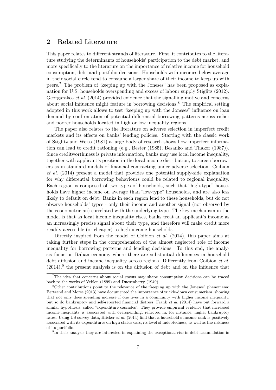# <span id="page-8-0"></span>2 Related Literature

This paper relates to different strands of literature. First, it contributes to the literature studying the determinants of households' participation to the debt market, and more specifically to the literature on the importance of relative income for household consumption, debt and portfolio decisions. Households with incomes below average in their social circle tend to consume a larger share of their income to keep up with peers.[7](#page-8-1) The problem of "keeping up with the Joneses" has been proposed as explanation for U.S. households overspending and excess of labour supply [Stiglitz](#page-42-7) [\(2012\)](#page-42-7). [Georgarakos](#page-41-3) et al. [\(2014\)](#page-41-3) provided evidence that the signalling motive and concerns about social influence might feature in borrowing decisions.[8](#page-8-2) The empirical setting adopted in this work allows to test "keeping up with the Joneses" influence on loan demand by confrontation of potential differential borrowing patterns across richer and poorer households located in high or low inequality regions.

The paper also relates to the literature on adverse selection in imperfect credit markets and its effects on banks' lending policies. Starting with the classic work of [Stiglitz and Weiss](#page-43-2) [\(1981\)](#page-43-2) a large body of research shows how imperfect information can lead to credit rationing (e.g., [Bester](#page-39-1) [\(1985\)](#page-39-1); [Besanko and Thakor](#page-39-2) [\(1987\)](#page-39-2)). Since creditworthiness is private information, banks may use local income inequality, together with applicant's position in the local income distribution, to screen borrowers as in standard models of financial contracting under adverse selection. [Coibion](#page-40-2) [et al.](#page-40-2) [\(2014\)](#page-40-2) present a model that provides one potential supply-side explanation for why differential borrowing behaviours could be related to regional inequality. Each region is composed of two types of households, such that "high-type" households have higher income on average than "low-type" households, and are also less likely to default on debt. Banks in each region lend to these households, but do not observe households' types - only their income and another signal (not observed by the econometrician) correlated with the underlying type. The key mechanism in the model is that as local income inequality rises, banks treat an applicant's income as an increasingly precise signal about their type, and therefore will make credit more readily accessible (or cheaper) to high-income households.

Directly inspired from the model of [Coibion](#page-40-2) *et al.* [\(2014\)](#page-40-2), this paper aims at taking further steps in the comprehension of the almost neglected role of income inequality for borrowing patterns and lending decisions. To this end, the analysis focus on Italian economy where there are substantial differences in household debt diffusion and income inequality across regions. Differently from [Coibion](#page-40-2) *et al.*  $(2014)$ , the present analysis is on the diffusion of debt and on the influence that

<span id="page-8-3"></span><sup>9</sup>In their analysis they are interested in explaining the exceptional rise in debt accumulation in

<span id="page-8-1"></span><sup>7</sup>The idea that concerns about social status may shape consumption decisions can be traced back to the works of [Veblen](#page-43-3) [\(1899\)](#page-43-3) and [Duesenberry](#page-40-3) [\(1949\)](#page-40-3).

<span id="page-8-2"></span><sup>8</sup>Other contributions point to the relevance of the "keeping up with the Joneses" phenomena: [Bertrand and Morse](#page-39-3) [\(2013\)](#page-39-3) have documented the importance of trickle-down consumerism, showing that not only does spending increase if one lives in a community with higher income inequality, but so do bankruptcy and self-reported financial distress; [Frank](#page-41-4) et al. [\(2014\)](#page-41-4) have put forward a similar hypothesis, called "expenditure cascades". They provide empirical evidence that increased income inequality is associated with overspending, reflected in, for instance, higher bankruptcy rates. Using US survey data, [Bricker](#page-39-4) et al. [\(2014\)](#page-39-4) find that a household's income rank is positively associated with its expenditures on high status cars, its level of indebtedness, as well as the riskiness of its portfolio.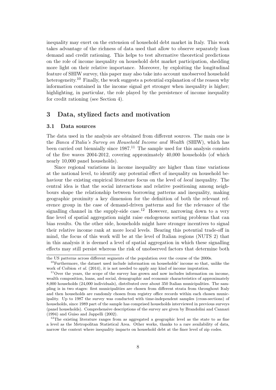inequality may exert on the extension of household debt market in Italy. This work takes advantage of the richness of data used that allow to observe separately loan demand and credit rationing. This helps to test alternative theoretical predictions on the role of income inequality on household debt market participation, shedding more light on their relative importance. Moreover, by exploiting the longitudinal feature of SHIW survey, this paper may also take into account unobserved household heterogeneity.<sup>[10](#page-9-1)</sup> Finally, the work suggests a potential explanation of the reason why information contained in the income signal get stronger when inequality is higher; highlighting, in particular, the role played by the persistence of income inequality for credit rationing (see Section [4\)](#page-11-0).

# <span id="page-9-0"></span>3 Data, stylized facts and motivation

#### 3.1 Data sources

The data used in the analysis are obtained from different sources. The main one is the Banca d'Italia's Survey on Household Income and Wealth (SHIW), which has been carried out biennially since  $1987<sup>11</sup>$  $1987<sup>11</sup>$  $1987<sup>11</sup>$  The sample used for this analysis consists of the five waves 2004-2012, covering approximately 40,000 households (of which nearly 10,000 panel households).

Since regional variations in income inequality are higher than time variations at the national level, to identify any potential effect of inequality on household behaviour the existing empirical literature focus on the level of local inequality. The central idea is that the social interactions and relative positioning among neighbours shape the relationship between borrowing patterns and inequality, making geographic proximity a key dimension for the definition of both the relevant reference group in the case of demand-driven patterns and for the relevance of the signalling channel in the supply-side case.<sup>[12](#page-9-3)</sup> However, narrowing down to a very fine level of spatial aggregation might raise endogenous sorting problems that can bias results. On the other side, households might have stronger incentives to signal their relative income rank at more local levels. Bearing this potential trade-off in mind, the focus of this work will be at the level of Italian regions (NUTS 2) that in this analysis it is deemed a level of spatial aggregation in which these signalling effects may still persist whereas the risk of unobserved factors that determine both

the US patterns across different segments of the population over the course of the 2000s.

<span id="page-9-1"></span> $10$ Furthermore, the dataset used include information on households' income so that, unlike the work of [Coibion](#page-40-2) *et al.* [\(2014\)](#page-40-2), it is not needed to apply any kind of income imputation.

<span id="page-9-2"></span><sup>&</sup>lt;sup>11</sup>Over the years, the scope of the survey has grown and now includes information on income, wealth composition, loans, and social, demographic and economic characteristics of approximately 8,000 households (24,000 individuals), distributed over about 350 Italian municipalities. The sampling is in two stages: first municipalities are chosen from different strata from throughout Italy and then households are randomly chosen from registry office records within each chosen municipality. Up to 1987 the survey was conducted with time-independent samples (cross-sections) of households, since 1989 part of the sample has comprised households interviewed in previous surveys (panel households). Comprehensive descriptions of the survey are given by [Brandolini and Cannari](#page-39-5) [\(1994\)](#page-39-5) and [Guiso and Jappelli](#page-41-5) [\(2002\)](#page-41-5).

<span id="page-9-3"></span><sup>&</sup>lt;sup>12</sup>The existing literature ranges from as aggregated a geographic level as the state to as fine a level as the Metropolitan Statistical Area. Other works, thanks to a rare availability of data, narrow the context where inequality impacts on household debt at the finer level of zip codes.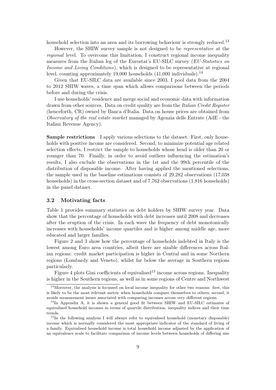household selection into an area and its borrowing behaviour is strongly reduced.<sup>[13](#page-10-0)</sup>

However, the SHIW survey sample is not designed to be representative at the regional level. To overcome this limitation, I construct regional income inequality measures from the Italian leg of the Eurostat's EU-SILC survey (EU-Statistics on Income and Living Conditions), which is designed to be representative at regional level, counting approximately 19,000 households  $(41,000 \text{ individuals})$ .<sup>[14](#page-10-1)</sup>

Given that EU-SILC data are available since 2003, I pool data from the 2004 to 2012 SHIW waves, a time span which allows comparisons between the periods before and during the crisis.

I use households' residence and merge social and economic data with information drawn from other sources. Data on credit quality are from the Italian Credit Register (henceforth, CR) owned by Banca d'Italia. Data on house prices are obtained from Observatory of the real estate market managed by Agenzia delle Entrate (AdE - the Italian Revenue Agency).

<span id="page-10-4"></span>Sample restrictions I apply various selections to the dataset. First, only households with positive income are considered. Second, to minimize potential age related selection effects, I restrict the sample to households whose head is older than 20 or younger than 70. Finally, in order to avoid outliers influencing the estimation's results, I also exclude the observations in the 1st and the 99th percentile of the distribution of disposable income. After having applied the mentioned selections, the sample used in the baseline estimations consists of 29,282 observations (17,038 households) in the cross-section dataset and of 7,762 observations (1,816 households) in the panel dataset.

#### <span id="page-10-3"></span>3.2 Motivating facts

Table [1](#page-27-0) provides summary statistics on debt holders by SHIW survey year. Data show that the percentage of households with debt increases until 2008 and decreases after the eruption of the crisis. In each wave the frequency of debt monotonically increases with households' income quartiles and is higher among middle age, more educated and larger families.

Figure [2](#page-25-0) and [3](#page-25-1) show how the percentage of households indebted in Italy is the lowest among Euro area countries, albeit there are sizable differences across Italian regions: credit market participation is higher in Central and in some Northern regions (Lombardy and Veneto), whilst far below the average in Southern regions particularly.

Figure [4](#page-26-0) plots Gini coefficients of equivalised<sup>[15](#page-10-2)</sup> income across regions. Inequality is higher in the Southern regions, as well as in some regions of Centre and Northwest

<span id="page-10-0"></span><sup>&</sup>lt;sup>13</sup>Moreover, the analysis is focussed on local income inequality for other two reasons: first, this is likely to be the most relevant metric when households compare themselves to others; second, it avoids measurement issues associated with comparing incomes across very different regions.

<span id="page-10-1"></span><sup>&</sup>lt;sup>14</sup>In Appendix [A,](#page-37-0) it is shown a general good fit between SHIW and EU-SILC estimates of equivalised household incomes in terms of quartile distribution, inequality indices and their time trends.

<span id="page-10-2"></span><sup>&</sup>lt;sup>15</sup>In the following analysis I will always refer to equivalised household (monetary disposable) income which is normally considered the most appropriate indicator of the standard of living of a family. Equivalised household income is total household income adjusted by the application of an equivalence scale to facilitate comparison of income levels between households of differing size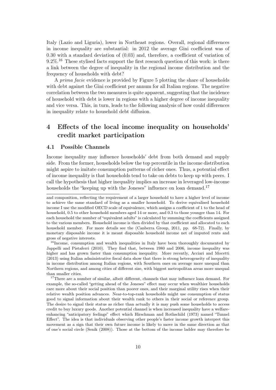Italy (Lazio and Liguria), lower in Northeast regions. Overall, regional differences in income inequality are substantial: in 2012 the average Gini coefficient was of 0.30 with a standard deviation of (0.03) and, therefore, a coefficient of variation of  $9.2\%$ <sup>[16](#page-11-1)</sup> These stylised facts support the first research question of this work: is there a link between the degree of inequality in the regional income distribution and the frequency of households with debt?

A prima facie evidence is provided by Figure [5](#page-26-1) plotting the share of households with debt against the Gini coefficient per annum for all Italian regions. The negative correlation between the two measures is quite apparent, suggesting that the incidence of household with debt is lower in regions with a higher degree of income inequality and vice versa. This, in turn, leads to the following analysis of how could differences in inequality relate to household debt diffusion.

# <span id="page-11-0"></span>4 Effects of the local income inequality on households' credit market participation

#### <span id="page-11-3"></span>4.1 Possible Channels

Income inequality may influence households' debt from both demand and supply side. From the former, households below the top percentile in the income distribution might aspire to imitate consumption patterns of richer ones. Thus, a potential effect of income inequality is that households tend to take on debts to keep up with peers. I call the hypothesis that higher inequality implies an increase in leveraged low-income households the "keeping up with the Joneses" influence on loan demand.<sup>[17](#page-11-2)</sup>

<span id="page-11-2"></span><sup>17</sup>There are a number of similar, albeit different, channels that may influence loan demand. For example, the so-called "getting ahead of the Joneses" effect may occur when wealthier households care more about their social position than poorer ones, and their marginal utility rises when their relative wealth position advances. Near-to-top-rank households might use consumption of status good to signal information about their wealth rank to others in their social or reference group. The desire to signal their status as richer than actually it is may push some households to access credit to buy luxury goods. Another potential channel is when increased inequality have a welfareenhancing "anticipatory feelings" effect which [Hirschman and Rothschild](#page-41-7) [\(1973\)](#page-41-7) named "Tunnel Effect". The idea is that individuals observing other people's faster income growth interpret this movement as a sign that their own future income is likely to move in the same direction as that of one's social circle [\(Senik](#page-42-8) [\(2008\)](#page-42-8)). Those at the bottom of the income ladder may therefore be

and composition, reflecting the requirement of a larger household to have a higher level of income to achieve the same standard of living as a smaller household. To derive equivalised household income I use the modified OECD scale of equivalence, which assigns a coefficient of 1 to the head of household, 0.5 to other household members aged 14 or more, and 0.3 to those younger than 14. For each household the number of "equivalent adults" is calculated by summing the coefficients assigned to the various members. Household income is then divided by that coefficient and allocated to each household member. For more details see the [\(Canberra Group,](#page-39-6) [2011,](#page-39-6) pp. 68-72). Finally, by monetary disposable income it is meant disposable household income net of imputed rents and gross of negative interests.

<span id="page-11-1"></span><sup>&</sup>lt;sup>16</sup>Income, consumption and wealth inequalities in Italy have been thoroughly documented by [Jappelli and Pistaferri](#page-41-6) [\(2010\)](#page-41-6). They find that, between 1980 and 2006, income inequality was higher and has grown faster than consumption inequality. More recently, [Acciari and Mocetti](#page-39-7) [\(2013\)](#page-39-7) using Italian administrative fiscal data show that there is strong heterogeneity of inequality in income distribution among Italian regions, with Southern ones on average more unequal than Northern regions, and among cities of different size, with biggest metropolitan areas more unequal than smaller cities.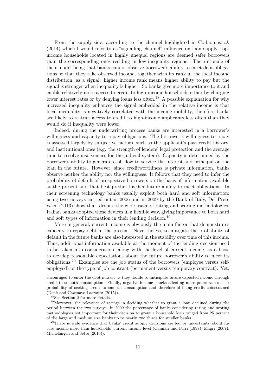From the supply-side, according to the channel highlighted in [Coibion](#page-40-2) *et al.* [\(2014\)](#page-40-2) which I would refer to as "signalling channel" influence on loan supply, topincome households located in highly unequal regions are deemed safer borrowers than the corresponding ones residing in low-inequality regions. The rationale of their model being that banks cannot observe borrower's ability to meet debt obligations so that they take observed income, together with its rank in the local income distribution, as a signal: higher income rank means higher ability to pay but the signal is stronger when inequality is higher. So banks give more importance to it and enable relatively more access to credit to high-income households either by charging lower interest rates or by denying loans less often.<sup>[18](#page-12-0)</sup> A possible explanation for why increased inequality enhances the signal embedded in the relative income is that local inequality is negatively correlated with the income mobility, therefore banks are likely to restrict access to credit to high-income applicants less often than they would do if inequality were lower.

Indeed, during the underwriting process banks are interested in a borrower's willingness and capacity to repay obligations. The borrower's willingness to repay is assessed largely by subjective factors, such as the applicant's past credit history, and instituitional ones (e.g. the strength of lenders' legal protection and the average time to resolve insolvencies for the judicial system). Capacity is determined by the borrower's ability to generate cash flow to service the interest and principal on the loan in the future. However, since creditworthiness is private information, banks observe neither the ability nor the willingness. It follows that they need to infer the probability of default of prospective borrowers on the basis of information available at the present and that best predict his/her future ability to meet obligations. In their screening technology banks usually exploit both hard and soft information: using two surveys carried out in 2006 and in 2009 by the Bank of Italy, [Del Prete](#page-40-4) [et al.](#page-40-4) [\(2013\)](#page-40-4) show that, despite the wide usage of rating and scoring methodologies, Italian banks adopted these devices in a flexible way, giving importance to both hard and soft types of information in their lending decision.[19](#page-12-1)

More in general, current income is obviously the main factor that demonstrates capacity to repay debt in the present. Nevertheless, to mitigate the probability of default in the future banks are also interested in the stability over time of this income. Thus, additional information available at the moment of the lending decision need to be taken into consideration, along with the level of current income, as a basis to develop reasonable expectations about the future borrower's ability to meet its obligations.[20](#page-12-2) Examples are the job status of the borrowers (employee versus selfemployed) or the type of job contract (permanent versus temporary contract). Yet,

encouraged to enter the debt market as they decide to anticipate future expected income through credit to smooth consumption. Finally, negative income shocks affecting more poors raises their probability of seeking credit to smooth consumption and therefore of being credit coinstrained [\(Denk and Cazenave-Lacroutz](#page-40-5) [\(2015\)](#page-40-5)).

<span id="page-12-1"></span><span id="page-12-0"></span><sup>&</sup>lt;sup>18</sup>See Section [2](#page-8-0) for more details.

<sup>&</sup>lt;sup>19</sup>Moreover, the relevance of ratings in deciding whether to grant a loan declined during the period between the two surveys: in 2009 the percentage of banks considering rating and scoring methodologies not important for their decision to grant a household loan ranged from 25 percent of the large and medium size banks up to nearly two thirds for smaller banks.

<span id="page-12-2"></span><sup>&</sup>lt;sup>20</sup>There is wide evidence that banks' credit supply decisions are led by uncertainty about future income more than households' current income level [\(Cannari and Ferri](#page-39-8) [\(1997\)](#page-39-8); [Magri](#page-42-9) [\(2007\)](#page-42-9); [Michelangeli and Sette](#page-42-10) [\(2016\)](#page-42-10)).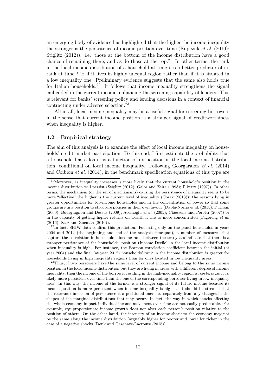an emerging body of evidence has highlighted that the higher the income inequality the stronger is the persistence of income position over time [\(Kopczuk](#page-41-8) *et al.* [\(2010\)](#page-41-8); [Stiglitz](#page-42-7) [\(2012\)](#page-42-7)): i.e. those at the bottom of the income distribution have a good chance of remaining there, and as do those at the top.<sup>[21](#page-13-0)</sup> In other terms, the rank in the local income distribution of a household at time  $t$  is a better predictor of its rank at time  $t+x$  if it lives in highly unequal region rather than if it is situated in a low inequality one. Preliminary evidence suggests that the same also holds true for Italian households.<sup>[22](#page-13-1)</sup> It follows that income inequality strengthens the signal embedded in the current income, enhancing the screening capability of lenders. This is relevant for banks' screening policy and lending decisions in a context of financial contracting under adverse selection.[23](#page-13-2)

All in all, local income inequality may be a useful signal for screening borrowers in the sense that current income position is a stronger signal of creditworthiness when inequality is higher.

#### 4.2 Empirical strategy

The aim of this analysis is to examine the effect of local income inequality on households' credit market participation. To this end, I first estimate the probability that a household has a loan, as a function of its position in the local income distribution, conditional on local income inequality. Following [Georgarakos](#page-41-3) et al. [\(2014\)](#page-41-3) and [Coibion](#page-40-2) et al. [\(2014\)](#page-40-2), in the benchmark specification equations of this type are

<span id="page-13-2"></span><sup>23</sup>Thus, if two borrowers have the same level of current income and belong to the same income position in the local income distribution but they are living in areas with a different degree of income inequality, then the income of the borrower residing in the high-inequality region is, coeteris paribus, likely more persistent over time than the one of the corresponding borrower living in low-inequality area. In this way, the income of the former is a stronger signal of its future income because its income position is more persistent when income inequality is higher. It should be stressed that the relevant dimension of persistence is a positional one: i.e. separately from any changes in the shapes of the marginal distributions that may occur. In fact, the way in which shocks affecting the whole economy impact individual income movement over time are not easily predictable. For example, equiproportionate income growth does not alter each person's position relative to the position of others. On the other hand, the intensity of an income shock to the economy may not be the same along the income distribution (arguably higher for poorer and lower for richer in the case of a negative shocks [\(Denk and Cazenave-Lacroutz](#page-40-5) [\(2015\)](#page-40-5)).

<span id="page-13-0"></span> $21$ Moreover, as inequality increases is more likely that the current household's position in the income distribution will persist [\(Stiglitz](#page-42-7) [\(2012\)](#page-42-7); [Galor and Zeira](#page-41-9) [\(1993\)](#page-41-9); [Piketty](#page-42-11) [\(1997\)](#page-42-11)). In other terms, the mechanism (or the set of mechanisms) causing the persistence of inequality seems to be more "effective" the higher is the current level of inequality [\(Corak](#page-40-6) [\(2013\)](#page-40-6)); the reasons lying in greater opportunities for top-income households and in the concentration of power so that some groups are in a position to structure policies in their own favour [\(Dabla-Norris](#page-40-7) et al. [\(2015\)](#page-40-7); [Putnam](#page-42-12) [\(2000\)](#page-42-12); [Bourguignon and Dessus](#page-39-9) [\(2009\)](#page-39-9); [Acemoglu](#page-39-10) et al. [\(2005\)](#page-39-10); [Claessens and Perotti](#page-40-8) [\(2007\)](#page-40-8)) or in the capacity of getting higher returns on wealth if this is more concentrated [\(Fagereng](#page-40-9) et al. [\(2016\)](#page-40-9); [Saez and Zucman](#page-42-13) [\(2016\)](#page-42-13)).

<span id="page-13-1"></span> $^{22}$ In fact. SHIW data confirm this prediction. Focussing only on the panel households in years 2004 and 2012 (the beginning and end of the analysis timespan), a number of measures that capture the correlation in household's income rank between the two years indicate that there is a stronger persistence of the households' position (Income Decile) in the local income distribution when inequality is high. For instance, the Pearson correlation coefficient between the initial (at year 2004) and the final (at year 2012) households' rank in the income distribution is greater for households living in high inequality regions than for ones located in low inequality areas.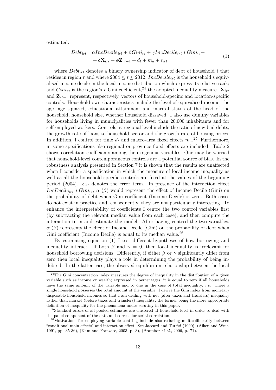estimated:

<span id="page-14-3"></span>
$$
Debt_{irt} = \alpha IncDecile_{irt} + \beta Gini_{rt} + \gamma IncDecile_{irt} * Gini_{rt} + + \delta \mathbf{X}_{irt} + \phi \mathbf{Z}_{rt-1} + d_t + m_a + \epsilon_{irt}
$$
\n(1)

where  $Debt_{irt}$  denotes a binary ownership indicator of debt of household i that resides in region r and where  $2004 \le t \le 2012$ ; IncDecile<sub>irt</sub> is the household's equivalised income decile in the local income distribution which express its relative rank; and  $Gini_{rt}$  is the region's r Gini coefficient,<sup>[24](#page-14-0)</sup> the adopted inequality measure.  $\mathbf{X}_{irt}$ and  $\mathbf{Z}_{rt-1}$  represent, respectively, vectors of household-specific and location-specific controls. Household own characteristics include the level of equivalised income, the age, age squared, educational attainment and marital status of the head of the household, household size, whether household dissaved. I also use dummy variables for households living in municipalities with fewer than 20,000 inhabitants and for self-employed workers. Controls at regional level include the ratio of new bad debts, the growth rate of loans to household sector and the growth rate of housing prices. In addition, I control for time  $d_t$  and macro-area fixed effects  $m_a$ <sup>[25](#page-14-1)</sup> Furthermore, in some specifications also regional or province fixed effects are included. Table [2](#page-28-0) shows correlation coefficients among the exogenous variables. One may be worried that household-level contemporaneous controls are a potential source of bias. In the robustness analysis presented in Section [7](#page-22-0) it is shown that the results are unaffected when I consider a specification in which the measure of local income inequality as well as all the household-specific controls are fixed at the values of the beginning period (2004).  $\epsilon_{irt}$  denotes the error term. In presence of the interaction effect  $IncDecile_{irt} * Gini_{rt}$ ,  $\alpha$  ( $\beta$ ) would represent the effect of Income Decile (Gini) on the probability of debt when Gini coefficient (Income Decile) is zero. Both cases do not exist in practice and, consequently, they are not particularly interesting. To enhance the interpretability of coefficients I centre the two control variables first (by subtracting the relevant median value from each case), and then compute the interaction term and estimate the model. After having centred the two variables,  $\alpha$  ( $\beta$ ) represents the effect of Income Decile (Gini) on the probability of debt when Gini coefficient (Income Decile) is equal to its median value.<sup>[26](#page-14-2)</sup>

By estimating equation [\(1\)](#page-14-3) I test different hypotheses of how borrowing and inequality interact. If both  $\beta$  and  $\gamma = 0$ , then local inequality is irrelevant for household borrowing decisions. Differently, if either  $\beta$  or  $\gamma$  significantly differ from zero then local inequality plays a role in determining the probability of being indebted. In the latter case, the observed equilibrium relationship between the local

<span id="page-14-0"></span> $24$ The Gini concentration index measures the degree of inequality in the distribution of a given variable such as income or wealth; expressed in percentages, it is equal to zero if all households have the same amount of the variable and to one in the case of total inequality, *i.e.* where a single household possesses the total amount of the variable. I derive the Gini index from monetary disposable household incomes so that I am dealing with net (after taxes and transfers) inequality rather than market (before taxes and transfers) inequality; the former being the more appropriate definition of inequality for the phenomena under scrutiny in this paper.

<span id="page-14-1"></span><sup>&</sup>lt;sup>25</sup>Standard errors of all pooled estimates are clustered at household level in order to deal with the panel component of the data and correct for serial correlation.

<span id="page-14-2"></span> $26$ Motivations for employing variable centring include also reducing multicollinearity between "conditional main effects" and interaction effect. See [Jaccard and Turrisi](#page-41-10) [\(1990\)](#page-41-10), [\(Aiken and West,](#page-39-11) [1991,](#page-39-11) pp. 35-36), [\(Kam and Franzese,](#page-41-11) [2003,](#page-41-11) p. 3), [\(Brambor](#page-39-12) et al., [2006,](#page-39-12) p. 71).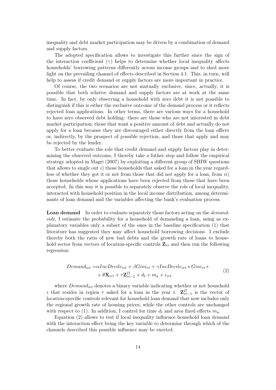inequality and debt market participation may be driven by a combination of demand and supply factors.

The adopted specification allows to investigate this further since the sign of the interaction coefficient ( $\gamma$ ) helps to determine whether local inequality affects households' borrowing patterns differently across income groups and to shed more light on the prevailing channel of effects described in Section [4.1.](#page-11-3) This, in turn, will help to assess if credit demand or supply factors are more important in practice.

Of course, the two scenarios are not mutually exclusive, since, actually, it is possible that both relative demand and supply factors are at work at the same time. In fact, by only observing a household with zero debt it is not possible to distinguish if this is either the exclusive outcome of the demand process or it reflects rejected loan applications. In other terms, there are various ways for a household to have zero observed debt holding: there are those who are not interested in debt market participation; those that want a positive amount of debt and actually do not apply for a loan because they are discouraged either directly from the loan officer or, indirectly, by the prospect of possible rejection; and those that apply and may be rejected by the lender.

To better evaluate the role that credit demand and supply factors play in determining the observed outcome, I thereby take a futher step and follow the empirical strategy adopted in [Magri](#page-42-9) [\(2007\)](#page-42-9) by exploiting a different group of SHIW questions that allows to single out  $i)$  those households that asked for a loan in the year regardless of whether they got it or not from those that did not apply for a loan, from  $ii$ ) those households whose applications have been rejected from those that have been accepted. In this way it is possible to separately observe the role of local inequality, interacted with household position in the local income distribution, among determinants of loan demand and the variables affecting the bank's evaluation process.

Loan demand In order to evaluate separately those factors acting on the *demand*side, I estimate the probability for a household of demanding a loan, using as explanatory variables only a subset of the ones in the baseline specification [\(1\)](#page-14-3) that literature has suggested they may affect household borrowing decisions. I exclude thereby both the ratio of new bad debts and the growth rate of loans to household sector from vectors of location-specific controls  $\mathbf{Z}_{rt}$  and then run the following regression:

<span id="page-15-0"></span>
$$
Demand_{irt} = \alpha IncDecile_{irt} + \beta Gini_{rt} + \gamma IncDecile_{irt} * Gini_{rt} + + \theta \mathbf{X}_{irt} + \tau \mathbf{Z}_{rt-1}^D + d_t + m_a + \epsilon_{irt}
$$
\n(2)

where  $Demand_{irt}$  denotes a binary variable indicating whether or not household i that resides in region r asked for a loan in the year t.  $\mathbf{Z}_{rt-1}^D$  is the vector of location-specific controls relevant for household loan demand that now includes only the regional growth rate of housing prices; while the other controls are unchanged with respect to [\(1\)](#page-14-3). In addition, I control for time  $d_t$  and area fixed effects  $m_a$ .

Equation [\(2\)](#page-15-0) allows to test if local inequality influence household loan demand with the interaction effect being the key variable to determine through which of the channels described this possible influence may be exerted.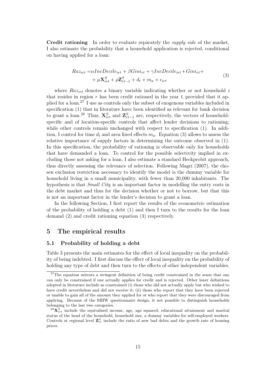<span id="page-16-3"></span>Credit rationing In order to evaluate separately the *supply side* of the market, I also estimate the probability that a household application is rejected, conditional on having applied for a loan:

$$
Raz_{irt} = \alpha IncDecile_{irt} + \beta Gini_{rt} + \gamma IncDecile_{irt} * Gini_{rt} ++ \mu \mathbf{X}_{irt}^{S} + \rho \mathbf{Z}_{rt-1}^{S} + d_t + m_a + \epsilon_{irt}
$$
\n(3)

where  $Raz_{irt}$  denotes a binary variable indicating whether or not household i that resides in region  $r$  has been credit rationed in the year  $t$ , provided that it applied for a loan.[27](#page-16-1) I use as controls only the subset of exogenous variables included in specification [\(1\)](#page-14-3) that in literature have been identified as relevant for bank decision to grant a loan.<sup>[28](#page-16-2)</sup> Thus,  $\mathbf{X}_{irt}^{S}$  and  $\mathbf{Z}_{rt-1}^{S}$  are, respectively, the vectors of householdspecific and of location-specific controls that affect lender decisions to rationing; while other controls remain unchanged with respect to specification  $(1)$ . In addition, I control for time  $d_t$  and area fixed effects  $m_a$ . Equation [\(3\)](#page-16-3) allows to assess the relative importance of supply factors in determining the outcome observed in [\(1\)](#page-14-3). In this specification, the probability of rationing is observable only for households that have demanded a loan. To control for the possible selectivity implied in excluding those not asking for a loan, I also estimate a standard Heckprobit approach, thus directly assessing the relevance of selection. Following [Magri](#page-42-9) [\(2007\)](#page-42-9), the chosen exclusion restriction necessary to identify the model is the dummy variable for household living in a small municipality, with fewer than 20,000 inhabitants. The hypothesis is that *Small City* is an important factor in modelling the entry costs in the debt market and thus for the decision whether or not to borrow, but that this is not an important factor in the lender's decision to grant a loan.

In the following Section, I first report the results of the econometric estimation of the probability of holding a debt [\(1\)](#page-14-3) and then I turn to the results for the loan demand [\(2\)](#page-15-0) and credit rationing equation [\(3\)](#page-16-3) respectively.

# <span id="page-16-0"></span>5 The empirical results

#### <span id="page-16-4"></span>5.1 Probability of holding a debt

Table [3](#page-29-0) presents the main estimates for the effect of local inequality on the probability of being indebted. I first discuss the effect of local inequality on the probability of holding any type of debt and then turn to the effects of other independent variables.

<span id="page-16-1"></span> $27$ The equation mirrors a stringent definition of being credit constrained in the sense that one can only be constrained if one actually applies for credit and is rejected. Other laxer definitions adopted in literature include as constrained (i) those who did not actually apply but who wished to have credit nevertheless and did not receive it; (ii) those who report that they have been rejected or unable to gain all of the amount they applied for or who report that they were discouraged from applying. Because of the SHIW questionnaire design, it not possible to distinguish households belonging to the last two categories.

<span id="page-16-2"></span> ${}^{28}\mathbf{X}_{irt}^S$  include the equivalised income, age, age squared, educational attainment and marital status of the head of the household, household size, a dummy variables for self-employed workers. Controls at regional level  $\mathbf{Z}_{rt}^{S}$  include the ratio of new bad debts and the growth rate of housing prices.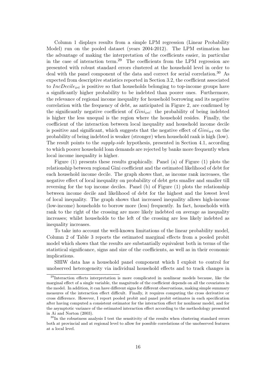Column 1 displays results from a simple LPM regression (Linear Probability Model) run on the pooled dataset (years 2004-2012). The LPM estimation has the advantage of making the interpretation of the coefficients easier, in particular in the case of interaction term.<sup>[29](#page-17-0)</sup> The coefficients from the LPM regression are presented with robust standard errors clustered at the household level in order to deal with the panel component of the data and correct for serial correlation.<sup>[30](#page-17-1)</sup> As expected from descriptive statistics reported in Section [3.2,](#page-10-3) the coefficient associated to IncDecile<sub>irt</sub> is positive so that households belonging to top-income groups have a significantly higher probability to be indebted than poorer ones. Furthermore, the relevance of regional income inequality for household borrowing and its negative correlation with the frequency of debt, as anticipated in Figure [2,](#page-25-0) are confirmed by the significantly negative coefficient of  $Gini_{irt}$ : the probability of being indebted is higher the less unequal is the region where the household resides. Finally, the coefficient of the interaction between local inequality and household income decile is positive and significant, which suggests that the negative effect of  $Gini_{irt}$  on the probability of being indebted is weaker (stronger) when household rank is high (low). The result points to the supply-side hypothesis, presented in Section [4.1,](#page-11-3) according to which poorer household loan demands are rejected by banks more frequently when local income inequality is higher.

Figure [\(1\)](#page-18-0) presents these results graphically. Panel (a) of Figure [\(1\)](#page-18-0) plots the relationship between regional Gini coefficient and the estimated likelihood of debt for each household income decile. The graph shows that, as income rank increases, the negative effect of local inequality on probability of debt gets smaller and smaller till reversing for the top income deciles. Panel (b) of Figure [\(1\)](#page-18-0) plots the relationship between income decile and likelihood of debt for the highest and the lowest level of local inequality. The graph shows that increased inequality allows high-income (low-income) households to borrow more (less) frequently. In fact, households with rank to the right of the crossing are more likely indebted on average as inequality increases; whilst households to the left of the crossing are less likely indebted as inequality increases.

To take into account the well-known limitations of the linear probability model, Column 2 of Table [3](#page-29-0) reports the estimated marginal effects from a pooled probit model which shows that the results are substantially equivalent both in terms of the statistical significance, signs and size of the coefficients, as well as in their economic implications.

SHIW data has a household panel component which I exploit to control for unobserved heterogeneity via individual household effects and to track changes in

<span id="page-17-0"></span><sup>&</sup>lt;sup>29</sup>Interaction effects interpretation is more complicated in nonlinear models because, like the marginal effect of a single variable, the magnitude of the coefficient depends on all the covariates in the model. In addition, it can have different signs for different observations, making simple summary measures of the interaction effect difficult. Finally, it requires computing the cross derivative or cross difference. However, I report pooled probit and panel probit estimates in each specification after having computed a consistent estimator for the interaction effect for nonlinear model, and for the asymptotic variance of the estimated interaction effect according to the methodology presented in [Ai and Norton](#page-39-13) [\(2003\)](#page-39-13).

<span id="page-17-1"></span><sup>&</sup>lt;sup>30</sup>In the robustness analysis I test the sensitivity of the results when clustering standard errors both at provincial and at regional level to allow for possible correlations of the unobserved features at a local level.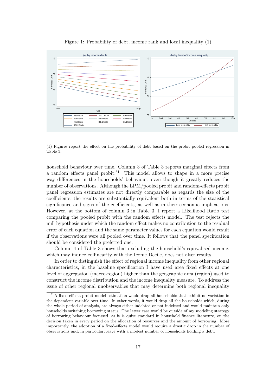<span id="page-18-0"></span>

Figure 1: Probability of debt, income rank and local inequality (1)

(1) Figures report the effect on the probability of debt based on the probit pooled regression in Table [3.](#page-29-0)

household behaviour over time. Column 3 of Table [3](#page-29-0) reports marginal effects from a random effects panel probit.[31](#page-18-1) This model allows to shape in a more precise way differences in the households' behaviour, even though it greatly reduces the number of observations. Although the LPM/pooled probit and random-effects probit panel regression estimates are not directly comparable as regards the size of the coefficients, the results are substantially equivalent both in terms of the statistical significance and signs of the coefficients, as well as in their economic implications. However, at the bottom of column 3 in Table [3,](#page-29-0) I report a Likelihood Ratio test comparing the pooled probit with the random effects model. The test rejects the null hypothesis under which the random effect makes no contribution to the residual error of each equation and the same parameter values for each equation would result if the observations were all pooled over time. It follows that the panel specification should be considered the preferred one.

Column 4 of Table [3](#page-29-0) shows that excluding the household's equivalised income, which may induce collinearity with the Icome Decile, does not alter results.

In order to distinguish the effect of regional income inequality from other regional characteristics, in the baseline specification I have used area fixed effects at one level of aggregation (macro-region) higher than the geographic area (region) used to construct the income distribution and the income inequality measure. To address the issue of other regional unobservables that may determine both regional inequality

<span id="page-18-1"></span><sup>&</sup>lt;sup>31</sup>A fixed-effects probit model estimation would drop all households that exhibit no variation in the dependent variable over time. In other words, it would drop all the households which, during the whole period of analysis, are always either indebted or not indebted and would maintain only households switching borrowing status. The latter case would be outside of my modeling strategy of borrowing behaviour focussed, as it is quite standard in household finance literature, on the decision taken in every period on the allocation of resources and the amount of borrowing. More importantly, the adoption of a fixed-effects model would require a drastic drop in the number of observations and, in particular, leave with a modest number of households holding a debt.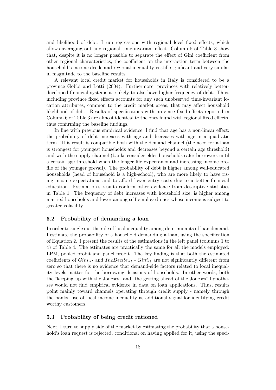and likelihood of debt, I run regressions with regional level fixed effects, which allows averaging out any regional time-invariant effect. Column 5 of Table [3](#page-29-0) show that, despite it is no longer possible to separate the effect of Gini coefficient from other regional characteristics, the coefficient on the interaction term between the household's income decile and regional inequality is still significant and very similar in magnitude to the baseline results.

A relevant local credit market for households in Italy is considered to be a province [Gobbi and Lotti](#page-41-12) [\(2004\)](#page-41-12). Furthermore, provinces with relatively betterdeveloped financial systems are likely to also have higher frequency of debt. Thus, including province fixed effects accounts for any such unobserved time-invariant location attributes, common to the credit market areas, that may affect household likelihood of debt. Results of specifications with province fixed effects reported in Column 6 of Table [3](#page-29-0) are almost identical to the ones found with regional fixed effects, thus confirming the baseline findings.

In line with previous empirical evidence, I find that age has a non-linear effect: the probability of debt increases with age and decreases with age in a quadratic term. This result is compatible both with the demand channel (the need for a loan is strongest for youngest households and decreases beyond a certain age threshold) and with the supply channel (banks consider elder households safer borrowers until a certain age threshold when the longer life expectancy and increasing income profile of the younger prevail). The probability of debt is higher among well-educated households (head of household is a high-school), who are more likely to have rising income expectations and to afford lower entry costs due to a better financial education. Estimation's results confirm other evidence from descriptive statistics in Table [1.](#page-27-0) The frequency of debt increases with household size, is higher among married households and lower among self-employed ones whose income is subject to greater volatility.

#### 5.2 Probability of demanding a loan

In order to single out the role of local inequality among determinants of loan demand, I estimate the probability of a household demanding a loan, using the specification of Equation [2.](#page-15-0) I present the results of the estimations in the left panel (columns 1 to 4) of Table [4.](#page-30-0) The estimates are practically the same for all the models employed: LPM, pooled probit and panel probit. The key finding is that both the estimated coefficients of  $Gini_{irt}$  and  $IncDecile_{irt} * Gini_{rt}$  are not significantly different from zero so that there is no evidence that demand-side factors related to local inequality levels matter for the borrowing decisions of households. In other words, both the "keeping up with the Joneses" and "the getting ahead of the Joneses" hypotheses would not find empirical evidence in data on loan applications. Thus, results point mainly toward channels operating through credit supply - namely through the banks' use of local income inequality as additional signal for identifying credit worthy customers.

#### <span id="page-19-0"></span>5.3 Probability of being credit rationed

Next, I turn to supply side of the market by estimating the probability that a household's loan request is rejected, conditional on having applied for it, using the speci-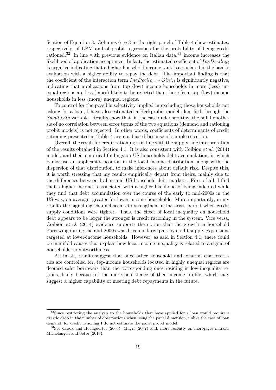fication of Equation [3.](#page-16-3) Columns 6 to 8 in the right panel of Table [4](#page-30-0) show estimates, respectively, of LPM and of probit regressions for the probability of being credit rationed.[32](#page-20-0) In line with previous evidence on Italian data,[33](#page-20-1) income increases the likelihood of application acceptance. In fact, the estimated coefficient of  $IncDecile_{irt}$ is negative indicating that a higher household income rank is associated in the bank's evaluation with a higher ability to repay the debt. The important finding is that the coefficient of the interaction term  $IncDecile_{irt} * Gini_{rt}$  is significantly negative, indicating that applications from top (low) income households in more (less) unequal regions are less (more) likely to be rejected than those from top (low) income households in less (more) unequal regions.

To control for the possible selectivity implied in excluding those households not asking for a loan, I have also estimated a Heckprobit model identified through the Small City variable. Results show that, in the case under scrutiny, the null hypothesis of no correlation between error terms of the two equations (demand and rationing probit models) is not rejected. In other words, coefficients of determinants of credit rationing presented in Table [4](#page-30-0) are not biased because of sample selection.

Overall, the result for credit rationing is in line with the supply side interpretation of the results obtained in Section [4.1.](#page-11-3) It is also consistent with [Coibion](#page-40-2) et al. [\(2014\)](#page-40-2) model, and their empirical findings on US households debt accumulation, in which banks use an applicant's position in the local income distribution, along with the dispersion of that distribution, to make inferences about default risk. Despite this, it is worth stressing that my results empirically depart from theirs, mainly due to the differences between Italian and US household debt markets. First of all, I find that a higher income is associated with a higher likelihood of being indebted while they find that debt accumulation over the course of the early to mid-2000s in the US was, on average, greater for lower income households. More importantly, in my results the signalling channel seems to strengthen in the crisis period when credit supply conditions were tighter. Thus, the effect of local inequality on household debt appears to be larger the stronger is credit rationing in the system. Vice versa, [Coibion](#page-40-2) et al. [\(2014\)](#page-40-2) evidence supports the notion that the growth in household borrowing during the mid-2000s was driven in large part by credit supply expansions targeted at lower-income households. However, as said in Section [4.1,](#page-11-3) there could be manifold causes that explain how local income inequality is related to a signal of households' creditworthiness.

All in all, results suggest that once other household and location characteristics are controlled for, top-income households located in highly unequal regions are deemed safer borrowers than the corresponding ones residing in low-inequality regions, likely because of the more persistence of their income profile, which may suggest a higher capability of meeting debt repayments in the future.

<span id="page-20-0"></span> $32$ Since restricting the analysis to the households that have applied for a loan would require a drastic drop in the number of observations when using the panel dimension, unlike the case of loan demand, for credit rationing I do not estimate the panel probit model.

<span id="page-20-1"></span><sup>&</sup>lt;sup>33</sup>See [Crook and Hochguertel](#page-40-10) [\(2006\)](#page-40-10); [Magri](#page-42-9) [\(2007\)](#page-42-9) and, more recently on mortgages market, [Michelangeli and Sette](#page-42-10) [\(2016\)](#page-42-10).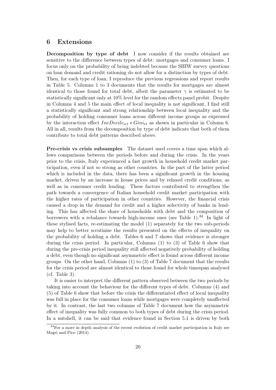## <span id="page-21-0"></span>6 Extensions

Decomposition by type of debt I now consider if the results obtained are sensitive to the difference between types of debt: mortgages and consumer loans. I focus only on the probability of being indebted because the SHIW survey questions on loan demand and credit rationing do not allow for a distinction by types of debt. Then, for each type of loan, I reproduce the previous regressions and report results in Table [5.](#page-31-0) Columns 1 to 3 documents that the results for mortgages are almost identical to those found for total debt, albeit the parameter  $\gamma$  is estimated to be statistically significant only at 10% level for the random effects panel probit. Despite in Columns 4 and 5 the main effect of local inequality is not significant, I find still a statistically significant and strong relationship between local inequality and the probability of holding consumer loans across different income groups as expressed by the interaction effect  $IncDecile_{irt} * Gini_{rt}$  as shown in particular in Column 6. All in all, results from the decomposition by type of debt indicate that both of them contribute to total debt patterns described above.

Pre-crisis vs crisis subsamples The dataset used covers a time span which allows comparisons between the periods before and during the crisis. In the years prior to the crisis, Italy experienced a fast growth in household credit market participation, even if not so strong as other countries. In the part of the latter period which is included in the data, there has been a significant growth in the housing market, driven by an increase in house prices and by relaxed credit conditions, as well as in consumer credit lending. These factors contributed to strengthen the path towards a convergence of Italian household credit market participation with the higher rates of participation in other countries. However, the financial crisis caused a drop in the demand for credit and a higher selectivity of banks in lending. This has affected the share of households with debt and the composition of borrowers with a rebalance towards high-income ones (see Table [1\)](#page-27-0).<sup>[34](#page-21-1)</sup> In light of these stylised facts, re-estimating the model [\(1\)](#page-14-3) separately for the two sub-periods may help to better scrutinise the results presented on the effects of inequality on the probability of holding a debt. Tables [6](#page-32-0) and [7](#page-32-1) shows that evidence is stronger during the crisis period. In particular, Columns (1) to (3) of Table [6](#page-32-0) show that during the pre-crisis period inequality still affected negatively probability of holding a debt, even though no significant asymmetric effect is found across different income groups. On the other hand, Columns (1) to (3) of Table [7](#page-32-1) document that the results for the crisis period are almost identical to those found for whole timespan analysed  $(cf. Table 3).$  $(cf. Table 3).$  $(cf. Table 3).$ 

It is easier to interpret the different pattern observed between the two periods by taking into account the behaviour for the different types of debt. Columns (4) and (5) of Table [6](#page-32-0) show that before the crisis the differentiated effect of local inequality was full in place for the consumer loans while mortgages were completely unaffected by it. In contrast, the last two columns of Table [7](#page-32-1) document how the asymmetric effect of inequality was fully common to both types of debt during the crisis period. In a nutshell, it can be said that evidence found in Section [5.1](#page-16-4) is driven by both

<span id="page-21-1"></span> $34$  For a more in depth analysis of the recent evolution of credit market participation in Italy see [Magri and Pico](#page-42-14) [\(2014\)](#page-42-14).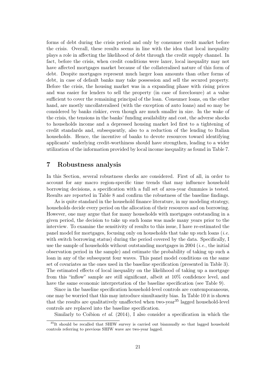forms of debt during the crisis period and only by consumer credit market before the crisis. Overall, these results seems in line with the idea that local inequality plays a role in affecting the likelihood of debt through the credit supply channel. In fact, before the crisis, when credit conditions were laxer, local inequality may not have affected mortgages market because of the collateralised nature of this form of debt. Despite mortgages represent much larger loan amounts than other forms of debt, in case of default banks may take possession and sell the secured property. Before the crisis, the housing market was in a expanding phase with rising prices and was easier for lenders to sell the property (in case of foreclosure) at a value sufficient to cover the remaining principal of the loan. Consumer loans, on the other hand, are mostly uncollateralised (with the exception of auto loans) and so may be considered by banks riskier, even though are much smaller in size. In the wake of the crisis, the tensions in the banks' funding availability and cost, the adverse shocks to households income and a depressed housing market led first to a tightening of credit standards and, subsequently, also to a reduction of the lending to Italian households. Hence, the incentive of banks to devote resources toward identifying applicants' underlying credit-worthiness should have strengthen, leading to a wider utilization of the information provided by local income inequality as found in Table [7.](#page-32-1)

# <span id="page-22-0"></span>7 Robustness analysis

In this Section, several robustness checks are considered. First of all, in order to account for any macro region-specific time trends that may influence household borrowing decisions, a specification with a full set of area-year dummies is tested. Results are reported in Table [8](#page-33-0) and confirm the robustness of the baseline findings.

As is quite standard in the household finance literature, in my modeling strategy, households decide every period on the allocation of their resources and on borrowing. However, one may argue that for many households with mortgages outstanding in a given period, the decision to take up such loans was made many years prior to the interview. To examine the sensitivity of results to this issue, I have re-estimated the panel model for mortgages, focusing only on households that take up such loans (*i.e.*) with switch borrowing status) during the period covered by the data. Specifically, I use the sample of households without outstanding mortgages in 2004 (i.e., the initial observation period in the sample) and estimate the probability of taking up such a loan in any of the subsequent four waves. This panel model conditions on the same set of covariates as the ones used in the baseline specification (presented in Table [3\)](#page-29-0). The estimated effects of local inequality on the likelihood of taking up a mortgage from this "inflow" sample are still significant, albeit at 10% confidence level, and have the same economic interpretation of the baseline specification (see Table [9\)](#page-33-1).

Since in the baseline specification household-level controls are contemporaneous, one may be worried that this may introduce simultaneity bias. In Table [10](#page-34-0) it is shown that the results are qualitatively unaffected when two-year<sup>[35](#page-22-1)</sup> lagged household-level controls are replaced into the baseline specification.

Similarly to [Coibion](#page-40-2) *et al.* [\(2014\)](#page-40-2), I also consider a specification in which the

<span id="page-22-1"></span><sup>&</sup>lt;sup>35</sup>It should be recalled that SHIW survey is carried out biannually so that lagged household controls referring to previous SHIW wave are two-year lagged.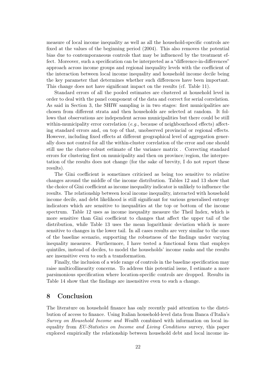measure of local income inequality as well as all the household-specific controls are fixed at the values of the beginning period (2004). This also removes the potential bias due to contemporaneous controls that may be influenced by the treatment effect. Moreover, such a specification can be interpreted as a "difference-in-differences" approach across income groups and regional inequality levels with the coefficient of the interaction between local income inequality and household income decile being the key parameter that determines whether such differences have been important. This change does not have significant impact on the results (cf. Table [11\)](#page-34-1).

Standard errors of all the pooled estimates are clustered at household level in order to deal with the panel component of the data and correct for serial correlation. As said in Section [3,](#page-9-0) the SHIW sampling is in two stages: first municipalities are chosen from different strata and then households are selected at random. It follows that observations are independent across municipalities but there could be still within-municipality error correlation (e.g., because of neighbourhood effects) affecting standard errors and, on top of that, unobserved provincial or regional effects. However, including fixed effects at different geographical level of aggregation generally does not control for all the within-cluster correlation of the error and one should still use the cluster-robust estimate of the variance matrix . Correcting standard errors for clustering first on municipality and then on province/region, the interpretation of the results does not change (for the sake of brevity, I do not report these results).

The Gini coefficient is sometimes criticised as being too sensitive to relative changes around the middle of the income distribution. Tables [12](#page-35-0) and [13](#page-35-1) show that the choice of Gini coefficient as income inequality indicator is unlikely to influence the results. The relationship between local income inequality, interacted with household income decile, and debt likelihood is still significant for various generalised entropy indicators which are sensitive to inequalities at the top or bottom of the income spectrum. Table [12](#page-35-0) uses as income inequality measure the Theil Index, which is more sensitive than Gini coefficient to changes that affect the upper tail of the distribution, while Table [13](#page-35-1) uses the mean logarithmic deviation which is more sensitive to changes in the lower tail. In all cases results are very similar to the ones of the baseline scenario, supporting the robustness of the findings under varying inequality measures. Furthermore, I have tested a functional form that employs quintiles, instead of deciles, to model the households' income ranks and the results are insensitive even to such a transformation.

Finally, the inclusion of a wide range of controls in the baseline specification may raise multicollinearity concerns. To address this potential issue, I estimate a more parsimonious specification where location-specific controls are dropped. Results in Table [14](#page-36-0) show that the findings are insensitive even to such a change.

# <span id="page-23-0"></span>8 Conclusion

The literature on household finance has only recently paid attention to the distribution of access to finance. Using Italian household-level data from Banca d'Italia's Survey on Household Income and Wealth combined with information on local inequality from EU-Statistics on Income and Living Conditions survey, this paper explored empirically the relationship between household debt and local income in-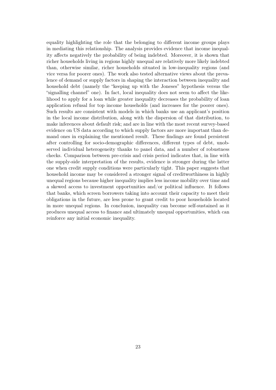equality highlighting the role that the belonging to different income groups plays in mediating this relationship. The analysis provides evidence that income inequality affects negatively the probability of being indebted. Moreover, it is shown that richer households living in regions highly unequal are relatively more likely indebted than, otherwise similar, richer households situated in low-inequality regions (and vice versa for poorer ones). The work also tested alternative views about the prevalence of demand or supply factors in shaping the interaction between inequality and household debt (namely the "keeping up with the Joneses" hypothesis versus the "signalling channel" one). In fact, local inequality does not seem to affect the likelihood to apply for a loan while greater inequality decreases the probability of loan application refusal for top income households (and increases for the poorer ones). Such results are consistent with models in which banks use an applicant's position in the local income distribution, along with the dispersion of that distribution, to make inferences about default risk; and are in line with the most recent survey-based evidence on US data according to which supply factors are more important than demand ones in explaining the mentioned result. These findings are found persistent after controlling for socio-demographic differences, different types of debt, unobserved individual heterogeneity thanks to panel data, and a number of robustness checks. Comparison between pre-crisis and crisis period indicates that, in line with the supply-side interpretation of the results, evidence is stronger during the latter one when credit supply conditions were particularly tight. This paper suggests that household income may be considered a stronger signal of creditworthiness in highly unequal regions because higher inequality implies less income mobility over time and a skewed access to investment opportunities and/or political influence. It follows that banks, which screen borrowers taking into account their capacity to meet their obligations in the future, are less prone to grant credit to poor households located in more unequal regions. In conclusion, inequality can become self-sustained as it produces unequal access to finance and ultimately unequal opportunities, which can reinforce any initial economic inequality.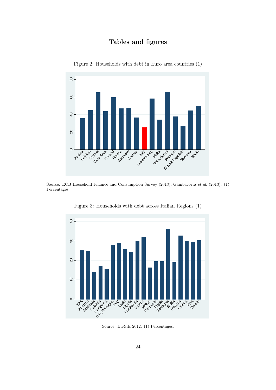# Tables and figures

<span id="page-25-0"></span>

Figure 2: Households with debt in Euro area countries (1)

Source: ECB Household Finance and Consumption Survey (2013), [Gambacorta](#page-41-13) et al. [\(2013\)](#page-41-13). (1) Percentages.

<span id="page-25-1"></span>

Figure 3: Households with debt across Italian Regions (1)

Source: Eu-Silc 2012. (1) Percentages.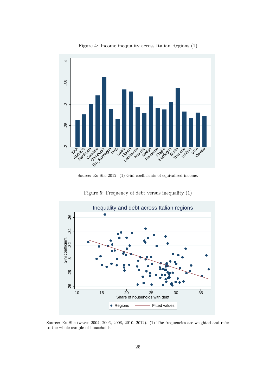<span id="page-26-0"></span>

Figure 4: Income inequality across Italian Regions (1)

Source: Eu-Silc 2012. (1) Gini coefficients of equivalised income.

<span id="page-26-1"></span>

Figure 5: Frequency of debt versus inequality (1)

Source: Eu-Silc (waves 2004, 2006, 2008, 2010, 2012). (1) The frequencies are weighted and refer to the whole sample of households.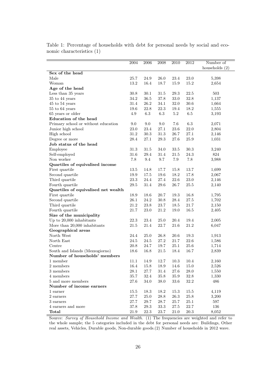<span id="page-27-0"></span>

|                                     | 2004     | 2006        | 2008     | 2010     | 2012     | Number of        |
|-------------------------------------|----------|-------------|----------|----------|----------|------------------|
|                                     |          |             |          |          |          | households $(2)$ |
| Sex of the head                     |          |             |          |          |          |                  |
| Male                                | 25.7     | 24.9        | 26.0     | 23.4     | 23.0     | 5,398            |
| Woman                               | 13.2     | 16.4        | 18.7     | 15.9     | 15.2     | 2,654            |
| Age of the head                     |          |             |          |          |          |                  |
| Less than 35 years                  | 30.8     | 30.1        | 31.5     | 29.3     | 22.5     | 503              |
| 35 to 44 years                      | 34.2     | 36.5        | 37.8     | $33.0\,$ | $32.8\,$ | 1,137            |
| 45 to 54 years                      | 31.4     | 26.2        | 34.1     | 32.0     | $30.6\,$ | 1,664            |
| 55 to 64 years                      | 19.6     | 22.8        | 22.3     | 19.4     | 18.2     | 1,555            |
| 65 years or older                   | 4.9      | 6.3         | 6.3      | 5.2      | $6.5\,$  | 3,193            |
| Education of the head               |          |             |          |          |          |                  |
| Primary school or without education | 9.0      | 9.0         | 9.0      | 7.6      | $6.3\,$  | 2,071            |
| Junior high school                  | 23.0     | 23.4        | 27.1     | 23.6     | 22.0     | 2,804            |
| High school                         | 31.2     | 30.3        | 31.3     | 26.7     | 27.1     | 2,146            |
| Degree or more                      | 28.4     | 27.1        | 29.3     | 27.6     | 25.9     | 1,031            |
| Job status of the head              |          |             |          |          |          |                  |
| Employee                            | 31.3     | 31.5        | 34.0     | 33.5     | 30.3     | 3,240            |
| Self-employed                       | 31.6     | 29.4        | 31.4     | $21.5\,$ | 24.3     | 824              |
| Non worker                          | 7.8      | 9.4         | 9.7      | 7.9      | 7.8      | 3,988            |
| Quartiles of equivalised income     |          |             |          |          |          |                  |
| First quartile                      | 13.5     | 14.8        | 17.7     | 15.8     | 13.7     | 1,699            |
| Second quartile                     | $19.9\,$ | 17.5        | $19.6\,$ | 18.2     | 17.8     | 2,067            |
| Third quartile                      | 23.3     | 24.4        | 27.4     | 22.6     | 23.0     | 2,146            |
| Fourth quartile                     | 29.5     | 31.4        | 29.6     | 26.7     | 25.5     | 2,140            |
| Quartiles of equivalised net wealth |          |             |          |          |          |                  |
| First quartile                      | 18.9     | 18.6        | 20.7     | 19.3     | 16.8     | 1,795            |
| Second quartile                     | 26.1     | 24.2        | 30.8     | 28.4     | 27.5     | 1,702            |
| Third quartile                      | 21.2     | 23.8        | $23.7\,$ | $18.5\,$ | $21.7\,$ | 2,150            |
| Fourth quartile                     | 21.7     | 23.0        | 21.2     | 19.0     | 16.5     | 2,405            |
| Size of the municipality            |          |             |          |          |          |                  |
| Up to 20,000 inhabitants            | 22.3     | 23.4        | 25.0     | 20.4     | 19.4     | 2,005            |
| More than 20,000 inhabitants        | 21.5     | 21.4        | 22.7     | 21.6     | 21.2     | 6,047            |
| Geographical areas                  |          |             |          |          |          |                  |
| North West                          | 24.4     | <b>25.0</b> | 26.8     | 20.6     | $19.3\,$ | 1,913            |
| North East                          | 24.5     | 24.5        | 27.2     | 21.7     | 22.6     | 1,586            |
| Centre                              | 20.8     | 24.7        | 19.7     | 25.1     | 25.6     | 1,714            |
| South and Islands (Mezzogiorno)     | 18.6     | 16.8        | 21.5     | 18.4     | 16.7     | 2,839            |
| Number of households' members       |          |             |          |          |          |                  |
| 1 member                            | 11.1     | 14.9        | 12.7     | 10.3     | 10.4     | 2,160            |
| 2 members                           | $16.4\,$ | $15.8\,$    | $18.9\,$ | $14.6\,$ | $15.0\,$ | 2,526            |
| 3 members                           | 28.1     | $27.7\,$    | 31.4     | 27.6     | 28.0     | 1,550            |
| 4 members                           | $35.7\,$ | 32.4        | 35.8     | 35.9     | $32.8\,$ | 1,330            |
| 5 and more members                  | 27.6     | $34.0\,$    | 38.0     | 33.6     | $32.2\,$ | 486              |
| Number of income earners            |          |             |          |          |          |                  |
| 1 earner                            | 15.5     | $18.3\,$    | $18.2\,$ | 15.3     | 15.5     | 4,119            |
| $2\mbox{~earners}$                  | 27.7     | $25.0\,$    | $28.8\,$ | $26.3\,$ | $25.8\,$ | 3,200            |
| 3 earners                           | $27.7\,$ | 29.7        | 28.7     | 25.7     | 25.1     | 597              |
| 4 earners and more                  | 37.8     | $29.3\,$    | $33.3\,$ | $27.5\,$ | $22.7\,$ | 136              |
| Total                               | 21.9     | 22.3        | 23.7     | 21.0     | $20.3\,$ | 8,052            |

Table 1: Percentage of households with debt for personal needs by social and economic characteristics (1)

Source: Survey of Household Income and Wealth. (1) The frequencies are weighted and refer to the whole sample; the 5 categories included in the debt for personal needs are: Buildings, Other real assets, Vehicles, Durable goods, Non-durable goods.(2) Number of households in 2012 wave.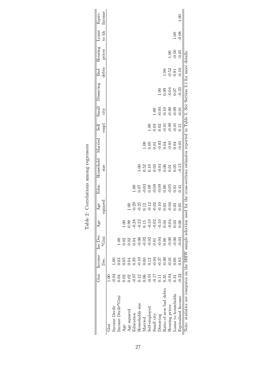|                                                                                                                                                         | ini<br>Gini                                  | Income Inc.Dec.<br>Dec. | $_{\rm c, ini}^*$ | Age                                                          | squared<br>Age                                                                                        | Educ.                        | Household Married<br>size                                                       |                                                          | empl.<br>Self               | Small<br>city | Dissaving            | debts<br>Bad                                         | Housing<br>prices | Loans<br>$\frac{1}{2}$ | Income<br>Equiv. |
|---------------------------------------------------------------------------------------------------------------------------------------------------------|----------------------------------------------|-------------------------|-------------------|--------------------------------------------------------------|-------------------------------------------------------------------------------------------------------|------------------------------|---------------------------------------------------------------------------------|----------------------------------------------------------|-----------------------------|---------------|----------------------|------------------------------------------------------|-------------------|------------------------|------------------|
| Gini                                                                                                                                                    | 1.00                                         |                         |                   |                                                              |                                                                                                       |                              |                                                                                 |                                                          |                             |               |                      |                                                      |                   |                        |                  |
| Income Decile                                                                                                                                           | 0.04                                         | 00.1                    |                   |                                                              |                                                                                                       |                              |                                                                                 |                                                          |                             |               |                      |                                                      |                   |                        |                  |
| Income Decile*Gini                                                                                                                                      | 0.04                                         | 0.03                    | 00.1              |                                                              |                                                                                                       |                              |                                                                                 |                                                          |                             |               |                      |                                                      |                   |                        |                  |
| Age                                                                                                                                                     | 0.02                                         | 0.05                    | 0.02              | 00.1                                                         |                                                                                                       |                              |                                                                                 |                                                          |                             |               |                      |                                                      |                   |                        |                  |
| Age squared                                                                                                                                             | $\begin{array}{c} 0.02 \\ -0.07 \end{array}$ | 0.04                    | 0.02              | 0.99                                                         | $1.00\,$                                                                                              |                              |                                                                                 |                                                          |                             |               |                      |                                                      |                   |                        |                  |
| Education                                                                                                                                               |                                              | 0.39                    | 0.04              |                                                              |                                                                                                       |                              |                                                                                 |                                                          |                             |               |                      |                                                      |                   |                        |                  |
| Households size                                                                                                                                         | $0.12\,$                                     | $-0.10$                 | $-0.06$           | $0.28$<br>$0.22$                                             |                                                                                                       | $\frac{100}{0.07}$           |                                                                                 |                                                          |                             |               |                      |                                                      |                   |                        |                  |
| Married                                                                                                                                                 | 0.06                                         | 0.00                    | $-0.02$           |                                                              |                                                                                                       | 0.03                         |                                                                                 |                                                          |                             |               |                      |                                                      |                   |                        |                  |
| Self-emploved                                                                                                                                           | $-0.01$                                      | 0.12                    | $-0.02$           |                                                              |                                                                                                       |                              |                                                                                 |                                                          | 1.00                        |               |                      |                                                      |                   |                        |                  |
| Small city                                                                                                                                              | $-0.17$                                      | $-0.04$                 | $0.01\,$          | $\begin{array}{c} 0.15 \\ -0.10 \\ 0.02 \\ 0.10 \end{array}$ | $\begin{array}{cccc}\n 23 & 23 \\ -9 & 12 & 23 \\ -9 & -12 & 23 \\ -9 & -9 & -9 & -12 \\ \end{array}$ | $0.08$<br>$-0.08$<br>$-0.09$ | $1.528$<br>$0.539$<br>$0.539$<br>$0.59$<br>$0.59$<br>$0.59$<br>$0.59$<br>$0.59$ | $1.05$<br>$0.05$<br>$0.03$<br>$0.03$<br>$0.01$<br>$0.04$ | 0.03                        | 1.00          |                      |                                                      |                   |                        |                  |
| Dissaving                                                                                                                                               | 0.11                                         | 0.37                    | $-0.04$           |                                                              |                                                                                                       |                              |                                                                                 |                                                          | $0.02$<br>$0.01$<br>$0.001$ |               |                      |                                                      |                   |                        |                  |
| Ratio of new bad debts                                                                                                                                  | 0.35                                         | 0.00                    | 0.00              | 0.04                                                         |                                                                                                       |                              |                                                                                 |                                                          |                             |               |                      |                                                      |                   |                        |                  |
| Housing prices                                                                                                                                          | $-0.04$                                      | $0.01\,$                | $-0.00$           | 0.04                                                         | $-0.04$<br>0.03                                                                                       | $-0.05$                      |                                                                                 |                                                          |                             |               | 1.00<br>0.00<br>0.00 | $\begin{array}{c} 1.00 \\ -0.52 \\ 0.91 \end{array}$ |                   |                        |                  |
| Loans to households                                                                                                                                     | 0.31                                         | 0.00                    | $-0.00$           | 0.03                                                         |                                                                                                       | 0.01                         |                                                                                 |                                                          |                             |               |                      |                                                      | $1.00$<br>$-0.50$ | $1.00\,$               |                  |
| Equivalised Income                                                                                                                                      | $-0.22$                                      | 0.83                    | 0.03              | 0.06                                                         | 0.05                                                                                                  | 0.41                         | 0.15                                                                            | 0.01                                                     | 0.15                        | 0.01          | $-0.33$              | $-0.10$                                              | $-0.05$           | $-0.08$                | n<br>E           |
| Note: statistics are computes on the SHIW sample selection used for the cross-sections estimates reported in Table 3. See Section 3.1 for more details. |                                              |                         |                   |                                                              |                                                                                                       |                              |                                                                                 |                                                          |                             |               |                      |                                                      |                   |                        |                  |

<span id="page-28-0"></span>Table 2: Correlations among regressors Table 2: Correlations among regressors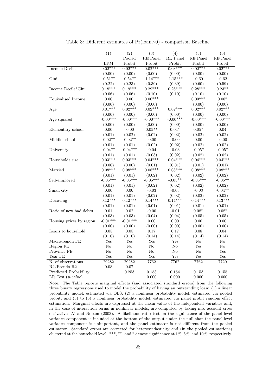<span id="page-29-0"></span>

|                          | (1)            | (2)          | $\overline{(3)}$ | $\overline{(4)}$ | $\overline{(5)}$ | $\overline{(6)}$ |
|--------------------------|----------------|--------------|------------------|------------------|------------------|------------------|
|                          |                | Pooled       | RE Panel         | RE Panel         | RE Panel         | RE Panel         |
|                          | $\mathrm{LPM}$ | Probit       | Probit           | Probit           | Probit           | Probit           |
| <b>Income Decile</b>     | $0.02***$      | $0.02***$    | $0.02***$        | $0.03***$        | $0.02***$        | $0.02***$        |
|                          | (0.00)         | (0.00)       | (0.00)           | (0.00)           | (0.00)           | (0.00)           |
| Gini                     | $-0.51**$      | $-0.54**$    | $-1.14***$       | $-1.15***$       | $-0.60$          | $-0.62$          |
|                          | (0.22)         | (0.23)       | (0.39)           | (0.39)           | (0.60)           | (0.59)           |
| Income Decile*Gini       | $0.18***$      | $0.19***$    | $0.29***$        | $0.26***$        | $0.28***$        | $0.23**$         |
|                          | (0.06)         | (0.06)       | (0.10)           | (0.10)           | (0.10)           | (0.10)           |
| Equivalised Income       | 0.00           | 0.00         | $0.00***$        |                  | $0.00***$        | $0.00*$          |
|                          | (0.00)         | (0.00)       | (0.00)           |                  | (0.00)           | (0.00)           |
| Age                      | $0.01***$      | $0.02***$    | $0.02***$        | $0.02***$        | $0.02***$        | $0.02***$        |
|                          | (0.00)         | (0.00)       | (0.00)           | (0.00)           | (0.00)           | (0.00)           |
| Age squared              | $-0.00***$     | $-0.00***$   | $-0.00***$       | $-0.00***$       | $-0.00***$       | $-0.00***$       |
|                          | (0.00)         | (0.00)       | (0.00)           | (0.00)           | (0.00)           | (0.00)           |
| Elementary school        | $0.00\,$       | $-0.00$      | $0.05**$         | $0.04*$          | $0.05*$          | $0.04\,$         |
|                          | (0.01)         | (0.02)       | (0.02)           | (0.02)           | (0.02)           | (0.02)           |
| Middle school            | $-0.02**$      | $-0.02**$    | $-0.00$          | $-0.00$          | 0.00             | $-0.00$          |
|                          | (0.01)         | (0.01)       | (0.02)           | (0.02)           | (0.02)           | (0.02)           |
| University               | $-0.04**$      | $-0.04***$   | $-0.04$          | $-0.03$          | $-0.05*$         | $-0.05*$         |
|                          | (0.01)         | (0.01)       | (0.03)           | (0.02)           | (0.02)           | (0.02)           |
| Households size          | $0.03***$      | $0.03***$    | $0.04***$        | $0.04***$        | $0.04***$        | $0.04***$        |
|                          | (0.00)         | (0.00)       | (0.01)           | (0.01)           | (0.01)           | (0.01)           |
| Married                  | $0.08***$      | $0.08***$    | $0.08***$        | $0.08***$        | $0.08***$        | $0.08***$        |
|                          | (0.01)         | (0.01)       | (0.02)           | (0.02)           | (0.02)           | (0.02)           |
| Self-employed            | $-0.05***$     | $-0.05***$   | $-0.05***$       | $-0.05**$        | $-0.05***$       | $-0.05**$        |
|                          | (0.01)         | (0.01)       | (0.02)           | (0.02)           | (0.02)           | (0.02)           |
| Small city               | 0.00           | 0.00         | $-0.03$          | $-0.03$          | $-0.03$          | $-0.04**$        |
|                          | (0.01)         | (0.01)       | (0.02)           | (0.02)           | (0.02)           | (0.02)           |
| Dissaving                | $0.12***$      | $0.12***$    | $0.14***$        | $0.14***$        | $0.14***$        | $0.13***$        |
|                          | (0.01)         | (0.01)       | (0.01)           | (0.01)           | (0.01)           | (0.01)           |
| Ratio of new bad debts   | 0.01           | 0.02         | $-0.00$          | $-0.01$          | $0.08*$          | $0.08*$          |
|                          | (0.03)         | (0.03)       | (0.04)           | (0.04)           | (0.05)           | (0.05)           |
| Housing prices by region | $-0.01***$     | $-0.01***$   | $0.00\,$         | 0.00             | 0.00             | $0.00\,$         |
|                          | (0.00)         | (0.00)       | (0.00)           | (0.00)           | (0.00)           | (0.00)           |
| Loans to household       | $0.05\,$       | $0.05\,$     | 0.17             | 0.17             | $0.08\,$         | $0.04\,$         |
|                          | (0.10)         | (0.10)       | (0.14)           | (0.14)           | (0.14)           | (0.14)           |
| Macro-region FE          | Yes            | $_{\rm Yes}$ | Yes              | Yes              | No               | $\rm No$         |
| Region FE                | No             | No           | $\rm No$         | $\rm No$         | Yes              | $\rm No$         |
| Province FE              | No             | No           | $\rm No$         | $\rm No$         | $\rm No$         | Yes              |
| Year FE                  | $_{\rm Yes}$   | $_{\rm Yes}$ | Yes              | Yes              | Yes              | Yes              |
| N. of observations       | 29282          | 29282        | 7762             | 7762             | 7762             | 7720             |
| R2/Pseudo R2             | 0.08           | $0.07\,$     |                  |                  |                  |                  |
| Predicted Probability    |                | 0.253        | 0.153            | 0.154            | 0.153            | 0.155            |
| LR Test $(p-value)$      |                |              | 0.000            | 0.000            | 0.000            | 0.000            |

Table 3: Different estimates of  $Pr( loan > 0)$  - comparison Baseline

Note: The Table reports marginal effects (and associated standard errors) from the following three binary regressions used to model the probability of having an outstanding loan: (1) a linear probability model, estimated via OLS, (2) a nonlinear probability model, estimated via pooled probit, and (3) to (6) a nonlinear probability model, estimated via panel probit random effect estimation. Marginal effects are expressed at the mean value of the independent variables and, in the case of interaction terms in nonlinear models, are computed by taking into account cross derivatives [Ai and Norton](#page-39-13) [\(2003\)](#page-39-13). A likelihood-ratio test on the significance of the panel level variance component is included at the bottom of the output under the null that the panel-level variance component is unimportant, and the panel estimator is not different from the pooled estimator. Standard errors are corrected for heteroscedasticity and (in the pooled estimations) clustered at the household level. \*\*\*, \*\*, and \* denote significance at  $1\%$ , 5%, and  $10\%$ , respectively.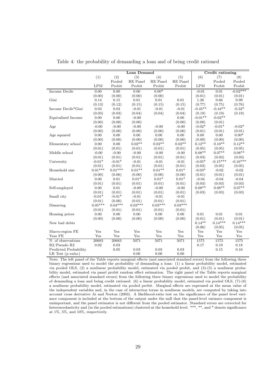<span id="page-30-0"></span>

|                       |           |               | <b>Loan Demand</b> |           |           |           | Credit rationing |            |
|-----------------------|-----------|---------------|--------------------|-----------|-----------|-----------|------------------|------------|
|                       | (1)       |               | (3)                | (4)       | (5)       | (6)       | (7)              | (8)        |
|                       |           | (2)<br>Pooled | <b>RE</b> Panel    | RE Panel  | RE Panel  |           | Pooled           | Pooled     |
|                       | LPM       | Probit        | Probit             | Probit    | Probit    | LPM       | Probit           | Probit     |
| Income Decile         | 0.00      | 0.00          | 0.00               | $0.00*$   |           | $-0.01$   | 0.01             | $-0.02***$ |
|                       | (0.00)    | (0.00)        | (0.00)             | (0.00)    |           | (0.01)    | (0.01)           | (0.01)     |
| Gini                  | 0.14      | 0.15          | 0.01               | 0.01      | 0.01      | 1.26      | 0.66             | 0.99       |
|                       | (0.13)    | (0.12)        | (0.15)             | (0.15)    | (0.15)    | (0.77)    | (0.75)           | (0.76)     |
| Income Decile*Gini    | 0.03      | 0.03          | $-0.01$            | $-0.01$   | $-0.01$   | $-0.45**$ | $-0.44**$        | $-0.32*$   |
|                       | (0.03)    | (0.03)        | (0.04)             | (0.04)    | (0.04)    | (0.19)    | (0.19)           | (0.19)     |
| Equivalised Income    | 0.00      | 0.00          | $-0.00$            |           | 0.00      | $-0.01**$ | $-0.02**$        |            |
|                       | (0.00)    | (0.00)        | (0.00)             |           | (0.00)    | (0.00)    | (0.01)           |            |
| Age                   | $-0.00$   | $-0.00$       | $-0.00$            | $-0.00$   | $-0.00$   | $-0.02*$  | $-0.01*$         | $-0.02*$   |
|                       | (0.00)    | (0.00)        | (0.00)             | (0.00)    | (0.00)    | (0.01)    | (0.01)           | (0.01)     |
| Age squared           | 0.00      | 0.00          | 0.00               | 0.00      | 0.00      | 0.00      | 0.00             | $0.00*$    |
|                       | (0.00)    | (0.00)        | (0.00)             | (0.00)    | (0.00)    | (0.00)    | (0.00)           | (0.00)     |
| Elementary school     | 0.00      | 0.00          | $0.02**$           | $0.02**$  | $0.02**$  | $0.12**$  | $0.10**$         | $0.12**$   |
|                       | (0.01)    | (0.01)        | (0.01)             | (0.01)    | (0.01)    | (0.05)    | (0.05)           | (0.05)     |
| Middle school         | $-0.00$   | $-0.00$       | $-0.00$            | $-0.00$   | $-0.00$   | $0.08**$  | $0.07**$         | $0.08**$   |
|                       | (0.01)    | (0.01)        | (0.01)             | (0.01)    | (0.01)    | (0.03)    | (0.03)           | (0.03)     |
| University            | $-0.01*$  | $-0.01*$      | $-0.01$            | $-0.01$   | $-0.01$   | $-0.05*$  | $-0.15***$       | $-0.16***$ |
|                       | (0.01)    | (0.01)        | (0.01)             | (0.01)    | (0.01)    | (0.03)    | (0.05)           | (0.05)     |
| Household size        | $0.01***$ | $0.01***$     | $0.01**$           | $0.01**$  | $0.01*$   | $-0.03*$  | $-0.02$          | $-0.02$    |
|                       | (0.00)    | (0.00)        | (0.00)             | (0.00)    | (0.00)    | (0.01)    | (0.01)           | (0.01)     |
| Married               | 0.00      | 0.01          | $0.01*$            | $0.01*$   | $0.01*$   | $-0.04$   | $-0.04$          | $-0.04$    |
|                       | (0.01)    | (0.01)        | (0.01)             | (0.01)    | (0.01)    | (0.03)    | (0.03)           | (0.03)     |
| Self-employed         | 0.00      | 0.01          | $-0.00$            | $-0.00$   | $-0.00$   | $0.08**$  | $0.08**$         | $0.07**$   |
|                       | (0.01)    | (0.01)        | (0.01)             | (0.01)    | (0.01)    | (0.03)    | (0.03)           | (0.03)     |
| Small city            | $-0.01*$  | $-0.01*$      | $-0.01$            | $-0.01$   | $-0.01$   |           |                  |            |
|                       | (0.01)    | (0.00)        | (0.01)             | (0.01)    | (0.01)    |           |                  |            |
| Dissaving             | $0.05***$ | $0.04***$     | $0.03***$          | $0.03***$ | $0.03***$ |           |                  |            |
|                       | (0.01)    | (0.01)        | (0.01)             | (0.01)    | (0.01)    |           |                  |            |
| Housing prices        | 0.00      | 0.00          | 0.00               | 0.00      | 0.00      | 0.01      | $0.01\,$         | $0.01\,$   |
|                       | (0.00)    | (0.00)        | (0.00)             | (0.00)    | (0.00)    | (0.01)    | (0.01)           | (0.01)     |
| New bad debts         |           |               |                    |           |           | $0.14**$  | $0.14***$        | $0.14***$  |
|                       |           |               |                    |           |           | (0.06)    | (0.05)           | (0.05)     |
| Macro-region FE       | Yes       | Yes           | Yes                | Yes       | Yes       | Yes       | Yes              | Yes        |
| Year $\rm FE$         | Yes       | Yes           | Yes                | Yes       | Yes       | Yes       | Yes              | Yes        |
| N. of observations    | 20683     | 20683         | 5071               | 5071      | 5071      | 1575      | 1575             | 1575       |
| R2/Pseudo R2          | 0.02      | 0.03          |                    |           |           | $0.17\,$  | 0.19             | 0.18       |
| Predicted Probability |           | 0.05          | 0.03               | 0.03      | 0.03      |           | 0.15             | 0.16       |
| LR Test $(p-value)$   |           |               | 0.00               | 0.00      | 0.00      |           |                  |            |

Table 4: the probability of demanding a loan and of being credit rationed

Note: The left panel of the Table reports marginal effects (and associated standard errors) from the following three binary regressions used to model the probability of demanding a loan: (1) a linear probability model, estimated via pooled OLS, (2) a nonlinear probability model, estimated via pooled probit, and (3)-(5) a nonlinear probability model, estimated via panel probit random effect estimation. The right panel of the Table reports marginal effects (and associated standard errors) from the following three binary regressions used to model the probability of demanding a loan and being credit rationed: (6) a linear probability model, estimated via pooled OLS, (7)-(8) a nonlinear probability model, estimated via pooled probit. Marginal effects are expressed at the mean value of the independent variables and, in the case of interaction terms in nonlinear models, are computed by taking into account cross derivative [Ai and Norton](#page-39-13) [\(2003\)](#page-39-13). A likelihood-ratio test on the significance of the panel level variance component is included at the bottom of the output under the null that the panel-level variance component is unimportant, and the panel estimator is not different from the pooled estimator. Standard errors are corrected for heteroscedasticity and (in the pooled estimations) clustered at the household level. \*\*\*, \*\*, and \* denote significance at 1%, 5%, and 10%, respectively.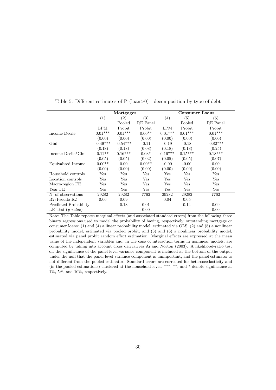<span id="page-31-0"></span>

|                       |                  | Mortgages         |                  |            | <b>Consumer Loans</b> |                   |
|-----------------------|------------------|-------------------|------------------|------------|-----------------------|-------------------|
|                       | $\left(1\right)$ | $\left( 2\right)$ | $\overline{(3)}$ | (4)        | (5)                   | $\left( 6\right)$ |
|                       |                  | Pooled            | RE Panel         |            | Pooled                | RE Panel          |
|                       | LPM              | Probit            | Probit           | <b>LPM</b> | Probit                | Probit            |
| Income Decile         | $0.01***$        | $0.01***$         | $0.00**$         | $0.01***$  | $0.01***$             | $0.01***$         |
|                       | (0.00)           | (0.00)            | (0.00)           | (0.00)     | (0.00)                | (0.00)            |
| Gini                  | $-0.49***$       | $-0.54***$        | $-0.11$          | $-0.19$    | $-0.18$               | $-0.82***$        |
|                       | (0.18)           | (0.18)            | (0.08)           | (0.18)     | (0.18)                | (0.25)            |
| Income Decile*Gini    | $0.12**$         | $0.16***$         | $0.03*$          | $0.16***$  | $0.15***$             | $0.18***$         |
|                       | (0.05)           | (0.05)            | (0.02)           | (0.05)     | (0.05)                | (0.07)            |
| Equivalised Income    | $0.00**$         | 0.00              | $0.00**$         | $-0.00$    | $-0.00$               | 0.00              |
|                       | (0.00)           | (0.00)            | (0.00)           | (0.00)     | (0.00)                | (0.00)            |
| Household controls    | Yes              | Yes               | Yes              | Yes        | Yes                   | Yes               |
| Location controls     | Yes              | Yes               | Yes              | Yes        | Yes                   | Yes               |
| Macro-region FE       | $_{\rm Yes}$     | Yes               | Yes              | Yes        | Yes                   | Yes               |
| Year FE               | Yes              | Yes               | Yes              | Yes        | Yes                   | Yes               |
| N. of observations    | 29282            | 29282             | 7762             | 29282      | 29282                 | 7762              |
| R2/Pseudo R2          | 0.06             | 0.09              |                  | 0.04       | 0.05                  |                   |
| Predicted Probability |                  | 0.13              | 0.01             |            | 0.14                  | 0.09              |
| LR Test $(p-value)$   |                  |                   | 0.00             |            |                       | 0.00              |

Table 5: Different estimates of  $Pr( loan > 0)$  - decomposition by type of debt

Note: The Table reports marginal effects (and associated standard errors) from the following three binary regressions used to model the probability of having, respectively, outstanding mortgage or consumer loans: (1) and (4) a linear probability model, estimated via OLS, (2) and (5) a nonlinear probability model, estimated via pooled probit, and (3) and (6) a nonlinear probability model, estimated via panel probit random effect estimation. Marginal effects are expressed at the mean value of the independent variables and, in the case of interaction terms in nonlinear models, are computed by taking into account cross derivatives [Ai and Norton](#page-39-13) [\(2003\)](#page-39-13). A likelihood-ratio test on the significance of the panel level variance component is included at the bottom of the output under the null that the panel-level variance component is unimportant, and the panel estimator is not different from the pooled estimator. Standard errors are corrected for heteroscedasticity and (in the pooled estimations) clustered at the household level. \*\*\*, \*\*, and \* denote significance at 1%, 5%, and 10%, respectively.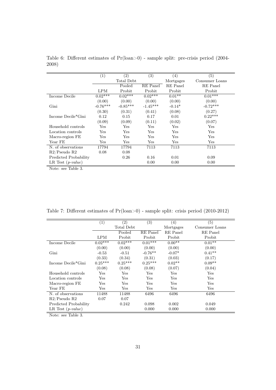<span id="page-32-0"></span>

|                       | (1)          | $\left( 2\right)$ | (3)        | $\left( 4\right)$ | (5)            |
|-----------------------|--------------|-------------------|------------|-------------------|----------------|
|                       |              | Total Debt        |            | Mortgages         | Consumer Loans |
|                       |              | Pooled            | RE Panel   | RE Panel          | RE Panel       |
|                       | LPM          | Probit            | Probit     | Probit            | Probit         |
| Income Decile         | $0.02***$    | $0.02***$         | $0.02***$  | $0.01**$          | $0.01***$      |
|                       | (0.00)       | (0.00)            | (0.00)     | (0.00)            | (0.00)         |
| Gini                  | $-0.76***$   | $-0.85***$        | $-1.45***$ | $-0.14*$          | $-0.72***$     |
|                       | (0.30)       | (0.31)            | (0.41)     | (0.08)            | (0.27)         |
| Income Decile*Gini    | 0.12         | 0.15              | 0.17       | 0.01              | $0.22***$      |
|                       | (0.09)       | (0.09)            | (0.11)     | (0.02)            | (0.07)         |
| Household controls    | Yes          | Yes               | Yes        | Yes               | Yes            |
| Location controls     | Yes          | Yes               | Yes        | Yes               | Yes            |
| Macro-region FE       | $_{\rm Yes}$ | Yes               | Yes        | Yes               | Yes            |
| Year FE               | Yes          | Yes               | Yes        | Yes               | Yes            |
| N. of observations    | 17794        | 17794             | 7113       | 7113              | 7113           |
| R2/Pseudo R2          | 0.08         | 0.08              |            |                   |                |
| Predicted Probability |              | 0.26              | 0.16       | 0.01              | 0.09           |
| LR Test $(p-value)$   |              |                   | 0.00       | 0.00              | 0.00           |

Table 6: Different estimates of  $Pr($ loan>0) - sample split: pre-crisis period (2004-2008)

Note: see Table [3.](#page-29-0)

<span id="page-32-1"></span>

|                       | (1)        | $\left( 2\right)$ | (3)       | $\left( 4\right)$ | (5)            |
|-----------------------|------------|-------------------|-----------|-------------------|----------------|
|                       |            | Total Debt        |           | Mortgages         | Consumer Loans |
|                       |            | Pooled            | RE Panel  | RE Panel          | RE Panel       |
|                       | <b>LPM</b> | Probit            | Probit    | Probit            | Probit         |
| Income Decile         | $0.02***$  | $0.02***$         | $0.01***$ | $0.00**$          | $0.01**$       |
|                       | (0.00)     | (0.00)            | (0.00)    | (0.00)            | (0.00)         |
| Gini                  | $-0.53$    | $-0.51$           | $-0.76**$ | $-0.07*$          | $0.41**$       |
|                       | (0.33)     | (0.34)            | (0.31)    | (0.03)            | (0.17)         |
| Income Decile*Gini    | $0.25***$  | $0.25***$         | $0.25***$ | $0.02**$          | $0.09**$       |
|                       | (0.08)     | (0.08)            | (0.08)    | (0.07)            | (0.04)         |
| Household controls    | Yes        | Yes               | Yes       | Yes               | Yes            |
| Location controls     | Yes        | Yes               | Yes       | Yes               | Yes            |
| Macro-region FE       | Yes        | $_{\rm Yes}$      | Yes       | Yes               | Yes            |
| Year FE               | Yes        | $_{\rm Yes}$      | Yes       | Yes               | Yes            |
| N. of observations    | 11488      | 11488             | 6496      | 6496              | 6496           |
| R2/Pseudo R2          | 0.07       | 0.07              |           |                   |                |
| Predicted Probability |            | 0.242             | 0.098     | 0.002             | 0.049          |
| LR Test $(p-value)$   |            |                   | 0.000     | 0.000             | 0.000          |

Table 7: Different estimates of Pr(loan>0) - sample split: crisis period (2010-2012)

Note: see Table [3.](#page-29-0)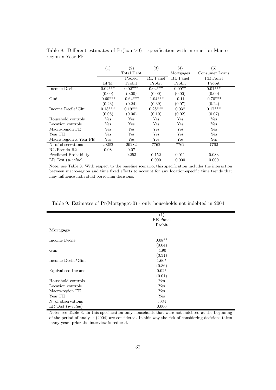<span id="page-33-0"></span>

|                        | (1)        | (2)          | $\overline{(3)}$ | $\left( 4\right)$ | (5)            |
|------------------------|------------|--------------|------------------|-------------------|----------------|
|                        |            | Total Debt   |                  | Mortgages         | Consumer Loans |
|                        |            | Pooled       | RE Panel         | RE Panel          | RE Panel       |
|                        | LPM        | Probit       | Probit           | Probit            | Probit         |
| Income Decile          | $0.02***$  | $0.02***$    | $0.02***$        | $0.00**$          | $0.01***$      |
|                        | (0.00)     | (0.00)       | (0.00)           | (0.00)            | (0.00)         |
| Gini                   | $-0.60***$ | $-0.64***$   | $-1.04***$       | $-0.11$           | $-0.70***$     |
|                        | (0.23)     | (0.24)       | (0.39)           | (0.07)            | (0.24)         |
| Income Decile*Gini     | $0.18***$  | $0.19***$    | $0.28***$        | $0.03*$           | $0.17***$      |
|                        | (0.06)     | (0.06)       | (0.10)           | (0.02)            | (0.07)         |
| Household controls     | Yes        | Yes          | Yes              | Yes               | Yes            |
| Location controls      | Yes        | Yes          | Yes              | Yes               | Yes            |
| Macro-region FE        | Yes        | Yes          | Yes              | Yes               | Yes            |
| Year FE                | Yes        | Yes          | Yes              | Yes               | Yes            |
| Macro-region x Year FE | Yes        | $_{\rm Yes}$ | Yes              | Yes               | Yes            |
| N. of observations     | 29282      | 29282        | 7762             | 7762              | 7762           |
| R2/Pseudo R2           | 0.08       | 0.07         |                  |                   |                |
| Predicted Probability  |            | 0.253        | 0.152            | 0.011             | 0.083          |
| LR Test $(p-value)$    |            |              | 0.000            | 0.000             | 0.000          |

Table 8: Different estimates of  $Pr($ loan>0) - specification with interaction Macroregion x Year FE

Note: see Table [3.](#page-29-0) With respect to the baseline scenario, this specification includes the interaction between macro-region and time fixed effects to account for any location-specific time trends that may influence individual borrowing decisions.

<span id="page-33-1"></span>

|                     | (1)      |  |
|---------------------|----------|--|
|                     | RE Panel |  |
|                     | Probit   |  |
| Mortgage            |          |  |
|                     |          |  |
| Income Decile       | $0.08**$ |  |
|                     | (0.04)   |  |
| Gini                | $-4.90$  |  |
|                     | (3.31)   |  |
| Income Decile*Gini  | $1.66*$  |  |
|                     | (0.86)   |  |
| Equivalised Income  | $0.02*$  |  |
|                     | (0.01)   |  |
| Household controls  | Yes      |  |
| Location controls   | Yes      |  |
| Macro-region FE     | Yes      |  |
| Year FE             | Yes      |  |
| N. of observations  | 5034     |  |
| LR Test $(p-value)$ | 0.000    |  |

Table 9: Estimates of Pr(Mortgage>0) - only households not indebted in 2004

Note: see Table [3.](#page-29-0) In this specification only households that were not indebted at the beginning of the period of analysis (2004) are considered. In this way the risk of considering decisions taken many years prior the interview is reduced.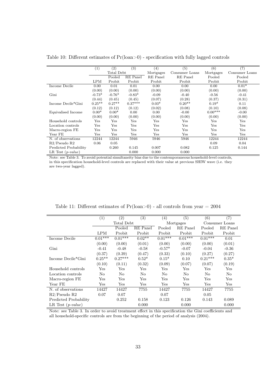<span id="page-34-0"></span>

|                       | $\left( 1\right)$ | (2)          | (3)       | (4)       | (5)            | (6)       | (7)            |
|-----------------------|-------------------|--------------|-----------|-----------|----------------|-----------|----------------|
|                       |                   | Total Debt   |           | Mortgages | Consumer Loans | Mortgages | Consumer Loans |
|                       |                   | Pooled       | RE Panel  | RE Panel  | RE Panel       | Pooled    | Pooled         |
|                       | LPM               | Probit       | Probit    | Probit    | Probit         | Probit    | Probit         |
| Income Decile         | 0.00              | 0.01         | 0.01      | 0.00      | 0.00           | 0.00      | $0.01*$        |
|                       | (0.00)            | (0.00)       | (0.00)    | (0.00)    | (0.00)         | (0.00)    | (0.00)         |
| Gini                  | $-0.73*$          | $-0.76*$     | $-0.83*$  | $-0.09$   | $-0.40$        | $-0.56$   | $-0.41$        |
|                       | (0.44)            | (0.45)       | (0.45)    | (0.07)    | (0.28)         | (0.37)    | (0.31)         |
| Income Decile*Gini    | $0.25**$          | $0.27**$     | $0.37***$ | $0.03*$   | $0.20**$       | $0.19*$   | 0.11           |
|                       | (0.12)            | (0.12)       | (0.12)    | (0.02)    | (0.08)         | (0.10)    | (0.08)         |
| Equivalised Income    | $0.00*$           | $0.00*$      | 0.00      | 0.00      | $-0.00$        | $0.00***$ | $-0.00$        |
|                       | (0.00)            | (0.00)       | (0.00)    | (0.00)    | (0.00)         | (0.00)    | (0.00)         |
| Household controls    | $_{\rm Yes}$      | $_{\rm Yes}$ | Yes       | Yes       | $_{\rm Yes}$   | Yes       | Yes            |
| Location controls     | Yes               | Yes          | Yes       | Yes       | $_{\rm Yes}$   | Yes       | Yes            |
| Macro-region FE       | $_{\rm Yes}$      | Yes          | Yes       | Yes       | Yes            | Yes       | Yes            |
| Year FE               | $_{\rm Yes}$      | $_{\rm Yes}$ | Yes       | Yes       | $_{\rm Yes}$   | Yes       | Yes            |
| N. of observations    | 12244             | 12244        | 5946      | 5946      | 5946           | 12244     | 12244          |
| R2/Pseudo R2          | 0.06              | 0.05         |           |           |                | 0.09      | 0.04           |
| Predicted Probability |                   | 0.260        | 0.145     | 0.007     | 0.082          | 0.125     | 0.144          |
| LR Test $(p-value)$   |                   |              | 0.000     | 0.000     | 0.000          |           |                |

Table 10: Different estimates of Pr(loan>0) - specification with fully lagged controls

Note: see Table [3.](#page-29-0) To avoid potential simultaneity bias due to the contemporaneous household-level controls, in this specification household-level controls are replaced with their value at previous SHIW wave (i.e. they are two-year lagged).

<span id="page-34-1"></span>

|                       | (1)                  | (2)        | (3)      | (4)       | (5)             | (6)       | (7)            |
|-----------------------|----------------------|------------|----------|-----------|-----------------|-----------|----------------|
|                       |                      | Total Debt |          |           | Mortgages       |           | Consumer Loans |
|                       |                      | Pooled     | RE Panel | Pooled    | <b>RE</b> Panel | Pooled    | RE Panel       |
|                       | LPM                  | Probit     | Probit   | Probit    | Probit          | Probit    | Probit         |
| Income Decile         | $0.01***$            | $0.01***$  | $0.02**$ | $0.01***$ | $0.01***$       | $0.01***$ | 0.01           |
|                       | (0.00)               | (0.00)     | (0.01)   | (0.00)    | (0.00)          | (0.00)    | (0.01)         |
| Gini                  | $-0.41$              | $-0.48$    | $-0.58$  | $-0.57*$  | $-0.07$         | $-0.04$   | $-0.36$        |
|                       | (0.37)               | (0.39)     | (0.47)   | (0.33)    | (0.10)          | (0.27)    | (0.27)         |
| Income Decile*Gini    | $0.25***$            | $0.27***$  | $0.52*$  | $0.15*$   | 0.10            | $0.21***$ | $0.35*$        |
|                       | (0.10)               | (0.11)     | (0.32)   | (0.09)    | (0.07)          | (0.07)    | (0.19)         |
| Household controls    | $\operatorname{Yes}$ | Yes        | Yes      | Yes       | Yes             | Yes       | Yes            |
| Location controls     | No                   | No         | No       | No        | No              | No        | No             |
| Macro-region FE       | $\operatorname{Yes}$ | Yes        | Yes      | Yes       | $_{\rm Yes}$    | Yes       | Yes            |
| Year FE               | Yes                  | Yes        | Yes      | Yes       | Yes             | Yes       | Yes            |
| N. of observations    | 14427                | 14427      | 7755     | 14427     | 7755            | 14427     | 7755           |
| R2/Pseudo R2          | 0.07                 | 0.07       |          | 0.07      |                 | 0.05      |                |
| Predicted Probability |                      | 0.252      | 0.158    | 0.123     | 0.126           | 0.143     | 0.089          |
| LR Test $(p-value)$   |                      |            | 0.000    |           | 0.000           |           | 0.000          |

Table 11: Different estimates of  $Pr($ loan $>$ 0 $)$  - all controls from year = 2004

Note: see Table [3.](#page-29-0) In order to avoid treatment effect in this specification the Gini coefficients and all household-specific controls are from the beginning of the period of analysis (2004).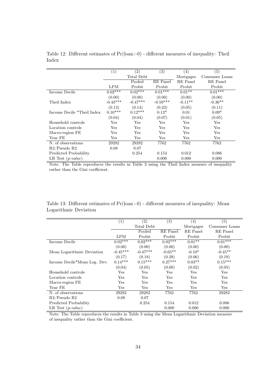<span id="page-35-0"></span>

|                            | $\left( 1\right)$ | (3)<br>(2)         |            | (4)       | (5)            |
|----------------------------|-------------------|--------------------|------------|-----------|----------------|
|                            |                   | Total Debt         |            | Mortgages | Consumer Loans |
|                            |                   | Pooled<br>RE Panel |            | RE Panel  | RE Panel       |
|                            | LPM               | Probit             | Probit     | Probit    | Probit         |
| Income Decile              | $0.02***$         | $0.02***$          | $0.01***$  | $0.01**$  | $0.01***$      |
|                            | (0.00)            | (0.00)             | (0.00)     | (0.00)    | (0.00)         |
| Theil Index                | $-0.43***$        | $-0.47***$         | $-0.59***$ | $-0.11**$ | $-0.36**$      |
|                            | (0.13)            | (0.14)             | (0.23)     | (0.05)    | (0.11)         |
| Income Decile *Theil Index | $0.10***$         | $0.12***$          | $0.13*$    | 0.01      | $0.09*$        |
|                            | (0.04)            | (0.04)             | (0.07)     | (0.01)    | (0.05)         |
| Household controls         | Yes               | Yes                | Yes        | Yes       | Yes            |
| Location controls          | Yes               | Yes                | Yes        | Yes       | Yes            |
| Macro-region FE            | Yes               | $_{\rm Yes}$       | Yes        | Yes       | Yes            |
| Year FE                    | Yes               | Yes                | Yes        | Yes       | Yes            |
| N. of observations         | 29282             | 29282              | 7762       | 7762      | 7762           |
| R2/Pseudo R2               | 0.08              | 0.07               |            |           |                |
| Predicted Probability      |                   | 0.254              | 0.154      | 0.012     | 0.086          |
| LR Test $(p-value)$        |                   |                    | 0.000      | 0.000     | 0.000          |

Table 12: Different estimates of Pr(loan>0) - different measures of inequality: Theil Index

Note: The Table reproduces the results in Table [3](#page-29-0) using the Theil Index measure of inequality rather than the Gini coefficient.

| Table 13: Different estimates of $Pr($ loan $>0)$ - different measures of inequality: Mean |  |  |
|--------------------------------------------------------------------------------------------|--|--|
| Logarithmic Deviation                                                                      |  |  |

<span id="page-35-1"></span>

|                              | (1)        | (2)        | (3)       | (4)       | (5)            |
|------------------------------|------------|------------|-----------|-----------|----------------|
|                              |            | Total Debt |           | Mortgages | Consumer Loans |
|                              |            | Pooled     | RE Panel  | RE Panel  | RE Panel       |
|                              | <b>LPM</b> | Probit     | Probit    | Probit    | Probit         |
| Income Decile                | $0.02***$  | $0.02***$  | $0.02***$ | $0.01**$  | $0.01***$      |
|                              | (0.00)     | (0.00)     | (0.00)    | (0.00)    | (0.00)         |
| Mean Logarithmic Deviation   | $-0.45***$ | $-0.47***$ | $-0.65**$ | $-0.10*$  | $-0.45**$      |
|                              | (0.17)     | (0.18)     | (0.29)    | (0.06)    | (0.19)         |
| Income Decile*Mean Log. Dev. | $0.14***$  | $0.15***$  | $0.27***$ | $0.03**$  | $0.15***$      |
|                              | (0.04)     | (0.05)     | (0.08)    | (0.02)    | (0.05)         |
| Household controls           | Yes        | Yes        | Yes       | Yes       | Yes            |
| Location controls            | Yes        | Yes        | Yes       | Yes       | Yes            |
| Macro-region FE              | Yes        | Yes        | Yes       | Yes       | Yes            |
| Year FE                      | Yes        | Yes        | Yes       | Yes       | Yes            |
| N. of observations           | 29282      | 29282      | 7762      | 7762      | 29282          |
| R2/Pseudo R2                 | 0.08       | 0.07       |           |           |                |
| Predicted Probability        |            | 0.254      | 0.154     | 0.012     | 0.086          |
| LR Test $(p-value)$          |            |            | 0.000     | 0.000     | 0.000          |

Note: The Table reproduces the results in Table [3](#page-29-0) using the Mean Logarithmic Deviation measure of inequality rather than the Gini coefficient.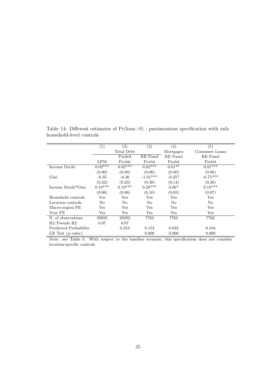<span id="page-36-0"></span>

|                       | (1)                  | $\left( 2\right)$ | (3)        | (4)       | (5)                  |
|-----------------------|----------------------|-------------------|------------|-----------|----------------------|
|                       |                      | Total Debt        |            | Mortgages | Consumer Loans       |
|                       |                      | Pooled            | RE Panel   | RE Panel  | RE Panel             |
|                       | LPM                  | Probit            | Probit     | Probit    | Probit               |
| Income Decile         | $0.02***$            | $0.02***$         | $0.02***$  | $0.01**$  | $0.01***$            |
|                       | (0.00)               | (0.00)            | (0.00)     | (0.00)    | (0.00)               |
| Gini                  | $-0.35$              | $-0.36$           | $-1.01***$ | $-0.25*$  | $-0.75***$           |
|                       | (0.22)               | (0.23)            | (0.38)     | (0.14)    | (0.26)               |
| Income Decile*Gini    | $0.18***$            | $0.19***$         | $0.28***$  | $0.06*$   | $0.18***$            |
|                       | (0.06)               | (0.06)            | (0.10)     | (0.03)    | (0.07)               |
| Household controls    | Yes                  | Yes               | Yes        | Yes       | Yes                  |
| Location controls     | No                   | No                | No         | No        | No.                  |
| Macro-region FE       | Yes                  | Yes               | Yes        | Yes       | $\operatorname{Yes}$ |
| Year FE               | $\operatorname{Yes}$ | Yes               | Yes        | Yes       | Yes                  |
| N. of observations    | 29282                | 29282             | 7762       | 7762      | 7762                 |
| R2/Pseudo R2          | 0.07                 | 0.07              |            |           |                      |
| Predicted Probability |                      | 0.254             | 0.154      | 0.032     | 0.104                |
| LR Test $(p-value)$   |                      |                   | 0.000      | 0.000     | 0.000                |

Table 14: Different estimates of  $Pr( loan > 0)$  - parsimonious specification with only household-level controls

Note: see Table [3.](#page-29-0) With respect to the baseline scenario, this specification does not consider location-specific controls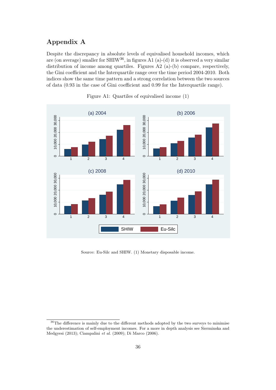# <span id="page-37-0"></span>Appendix A

Despite the discrepancy in absolute levels of equivalised household incomes, which are (on average) smaller for SHIW<sup>[36](#page-37-1)</sup>, in figures [A1](#page-37-2) (a)-(d) it is observed a very similar distribution of income among quartiles. Figures [A2](#page-38-0) (a)-(b) compare, respectively, the Gini coefficient and the Interquartile range over the time period 2004-2010. Both indices show the same time pattern and a strong correlation between the two sources of data (0.93 in the case of Gini coefficient and 0.99 for the Interquartile range).

<span id="page-37-2"></span>

Figure A1: Quartiles of equivalised income (1)

Source: Eu-Silc and SHIW. (1) Monetary disposable income.

<span id="page-37-1"></span> $36$ The difference is mainly due to the different methods adopted by the two surveys to minimise the underestimation of self-employment incomes. For a more in depth analysis see [Sierminska and](#page-42-15) [Medgyesi](#page-42-15) [\(2013\)](#page-42-15); [Ciampalini](#page-40-11) et al. [\(2009\)](#page-40-11); [Di Marco](#page-40-12) [\(2006\)](#page-40-12).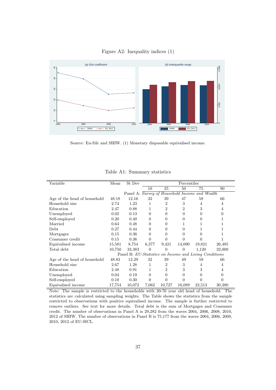<span id="page-38-0"></span>





| Variable                     | Mean   | St Dev                                                 | Percentiles    |                |                |                                                |                |
|------------------------------|--------|--------------------------------------------------------|----------------|----------------|----------------|------------------------------------------------|----------------|
|                              |        |                                                        | 10             | 25             | 50             | 75                                             | 90             |
|                              |        |                                                        |                |                |                | Panel A: Survey of Household Income and Wealth |                |
| Age of the head of household | 48.18  | 12.16                                                  | 32             | 39             | 47             | 58                                             | 66             |
| Household size               | 2.74   | 1.23                                                   | 1              | $\overline{2}$ | 3              | $\overline{4}$                                 | 4              |
| Education                    | 2.47   | 0.88                                                   | 1              | $\overline{2}$ | $\overline{2}$ | 3                                              | $\overline{4}$ |
| Unemployed                   | 0.02   | 0.13                                                   | $\overline{0}$ | 0              | $\overline{0}$ | $\Omega$                                       | 0              |
| Self-employed                | 0.20   | 0.40                                                   | $\theta$       | 0              | 0              | 0                                              |                |
| Married                      | 0.64   | 0.48                                                   | 0              | 0              | 1              | 1                                              |                |
| Debt                         | 0.27   | 0.44                                                   | 0              | 0              | $\overline{0}$ | 1                                              |                |
| Mortgages                    | 0.15   | 0.36                                                   | $\overline{0}$ | 0              | $\overline{0}$ | 0                                              | 1              |
| Consumer credit              | 0.15   | 0.36                                                   | $\Omega$       | 0              | 0              | 0                                              |                |
| Equivalised income           | 15,581 | 8,754                                                  | 6,377          | 9,421          | 14,090         | 19,821                                         | 26,485         |
| Total debt                   | 10,750 | 33,383                                                 | $\overline{0}$ | $\Omega$       | $\theta$       | 1,120                                          | 32,000         |
|                              |        | Panel B: EU-Statistics on Income and Living Conditions |                |                |                |                                                |                |
| Age of the head of household | 48.83  | 12.29                                                  | 32             | 39             | 49             | 59                                             | 66             |
| Household size               | 2.67   | 1.28                                                   | 1              | $\overline{2}$ | 3              | 4                                              | 4              |
| Education                    | 2.48   | 0.91                                                   | 1              | $\overline{2}$ | 3              | 3                                              | 4              |
| Unemployed                   | 0.04   | 0.19                                                   | $\theta$       | 0              | $\overline{0}$ | 0                                              | 0              |
| Self-employed                | 0.10   | 0.30                                                   | $\theta$       | $\Omega$       | $\theta$       | $\theta$                                       | 0              |
| Equivalised income           | 17,754 | 10,072                                                 | 7,062          | 10,727         | 16,089         | 22,513                                         | 30,380         |

Table A1: Summary statistics

Note: The sample is restricted to the households with 20-70 year old head of household. The statistics are calculated using sampling weights. The Table shows the statistics from the sample restricted to observations with positive equivalised income. The sample is further restricted to remove outliers. See text for more details. Total debt is the sum of Mortgages and Consumer credit. The number of observations in Panel A is 29,282 from the waves 2004, 2006, 2008, 2010, 2012 of SHIW. The number of observations in Panel B is 75,177 from the waves 2004, 2006, 2008, 2010, 2012 of EU-SICL.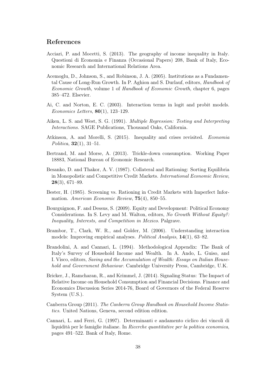# References

- <span id="page-39-7"></span>Acciari, P. and Mocetti, S. (2013). The geography of income inequality in Italy. Questioni di Economia e Finanza (Occasional Papers) 208, Bank of Italy, Economic Research and International Relations Area.
- <span id="page-39-10"></span>Acemoglu, D., Johnson, S., and Robinson, J. A. (2005). Institutions as a Fundamental Cause of Long-Run Growth. In P. Aghion and S. Durlauf, editors, Handbook of Economic Growth, volume 1 of Handbook of Economic Growth, chapter 6, pages 385–472. Elsevier.
- <span id="page-39-13"></span>Ai, C. and Norton, E. C. (2003). Interaction terms in logit and probit models. Economics Letters, 80(1), 123–129.
- <span id="page-39-11"></span>Aiken, L. S. and West, S. G. (1991). Multiple Regression: Testing and Interpreting Interactions. SAGE Publications, Thousand Oaks, California.
- <span id="page-39-0"></span>Atkinson, A. and Morelli, S. (2015). Inequality and crises revisited. Economia Politica,  $32(1)$ ,  $31-51$ .
- <span id="page-39-3"></span>Bertrand, M. and Morse, A. (2013). Trickle-down consumption. Working Paper 18883, National Bureau of Economic Research.
- <span id="page-39-2"></span>Besanko, D. and Thakor, A. V. (1987). Collateral and Rationing: Sorting Equilibria in Monopolistic and Competitive Credit Markets. International Economic Review,  $28(3)$ , 671–89.
- <span id="page-39-1"></span>Bester, H. (1985). Screening vs. Rationing in Credit Markets with Imperfect Information. American Economic Review, 75(4), 850–55.
- <span id="page-39-9"></span>Bourguignon, F. and Dessus, S. (2009). Equity and Development: Political Economy Considerations. In S. Levy and M. Walton, editors, No Growth Without Equity?: Inequality, Interests, and Competition in Mexico. Palgrave.
- <span id="page-39-12"></span>Brambor, T., Clark, W. R., and Golder, M. (2006). Understanding interaction models: Improving empirical analyses. Political Analysis, 14(1), 63–82.
- <span id="page-39-5"></span>Brandolini, A. and Cannari, L. (1994). Methodological Appendix: The Bank of Italy's Survey of Household Income and Wealth. In A. Ando, L. Guiso, and I. Visco, editors, Saving and the Accumulation of Wealth: Essays on Italian Household and Government Behaviour. Cambridge University Press, Cambridge, U.K.
- <span id="page-39-4"></span>Bricker, J., Ramcharan, R., and Krimmel, J. (2014). Signaling Status: The Impact of Relative Income on Household Consumption and Financial Decisions. Finance and Economics Discussion Series 2014-76, Board of Governors of the Federal Reserve System (U.S.).
- <span id="page-39-6"></span>Canberra Group (2011). The Canberra Group Handbook on Household Income Statistics. United Nations, Geneva, second edition edition.
- <span id="page-39-8"></span>Cannari, L. and Ferri, G. (1997). Determinanti e andamento ciclico dei vincoli di liquidità per le famiglie italiane. In Ricerche quantitative per la politica economica, pages 491–522. Bank of Italy, Rome.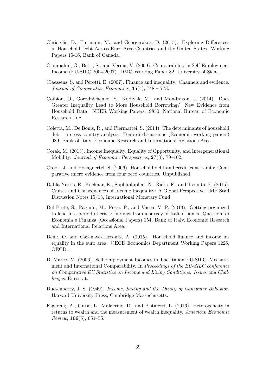- <span id="page-40-0"></span>Christelis, D., Ehrmann, M., and Georgarakos, D. (2015). Exploring Differences in Household Debt Across Euro Area Countries and the United States. Working Papers 15-16, Bank of Canada.
- <span id="page-40-11"></span>Ciampalini, G., Betti, S., and Verma, V. (2009). Comparability in Self-Employment Income (EU-SILC 2004-2007). DMQ Working Paper 82, University of Siena.
- <span id="page-40-8"></span>Claessens, S. and Perotti, E. (2007). Finance and inequality: Channels and evidence. Journal of Comparative Economics,  $35(4)$ ,  $748 - 773$ .
- <span id="page-40-2"></span>Coibion, O., Gorodnichenko, Y., Kudlyak, M., and Mondragon, J. (2014). Does Greater Inequality Lead to More Household Borrowing? New Evidence from Household Data. NBER Working Papers 19850, National Bureau of Economic Research, Inc.
- <span id="page-40-1"></span>Coletta, M., De Bonis, R., and Piermattei, S. (2014). The determinants of household debt: a cross-country analysis. Temi di discussione (Economic working papers) 989, Bank of Italy, Economic Research and International Relations Area.
- <span id="page-40-6"></span>Corak, M. (2013). Income Inequality, Equality of Opportunity, and Intergenerational Mobility. Journal of Economic Perspectives, 27(3), 79–102.
- <span id="page-40-10"></span>Crook, J. and Hochguertel, S. (2006). Household debt and credit constraints: Comparative micro evidence from four oecd countries. Unpublished.
- <span id="page-40-7"></span>Dabla-Norris, E., Kochhar, K., Suphaphiphat, N., Ricka, F., and Tsounta, E. (2015). Causes and Consequences of Income Inequality: A Global Perspective. IMF Staff Discussion Notes 15/13, International Monetary Fund.
- <span id="page-40-4"></span>Del Prete, S., Pagnini, M., Rossi, P., and Vacca, V. P. (2013). Getting organized to lend in a period of crisis: findings from a survey of Italian banks. Questioni di Economia e Finanza (Occasional Papers) 154, Bank of Italy, Economic Research and International Relations Area.
- <span id="page-40-5"></span>Denk, O. and Cazenave-Lacroutz, A. (2015). Household finance and income inequality in the euro area. OECD Economics Department Working Papers 1226, OECD.
- <span id="page-40-12"></span>Di Marco, M. (2006). Self Employment Incomes in The Italian EU-SILC: Measurement and International Comparability. In Proceedings of the EU-SILC conference on Comparative EU Statistics on Income and Living Conditions: Issues and Challenges. Eurostat.
- <span id="page-40-3"></span>Duesenberry, J. S. (1949). Income, Saving and the Theory of Consumer Behavior. Harvard University Press, Cambridge Massachusetts.
- <span id="page-40-9"></span>Fagereng, A., Guiso, L., Malacrino, D., and Pistaferri, L. (2016). Heterogeneity in returns to wealth and the measurement of wealth inequality. American Economic *Review*, **106**(5), 651–55.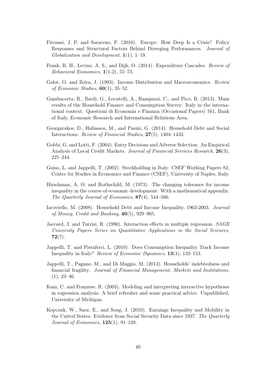- <span id="page-41-2"></span>Fitoussi, J. P. and Saraceno, F. (2010). Europe: How Deep Is a Crisis? Policy Responses and Structural Factors Behind Diverging Performances. Journal of  $Globalization$  and Development,  $1(1)$ , 1–19.
- <span id="page-41-4"></span>Frank, R. H., Levine, A. S., and Dijk, O. (2014). Expenditure Cascades. Review of Behavioral Economics, 1(1-2), 55–73.
- <span id="page-41-9"></span>Galor, O. and Zeira, J. (1993). Income Distribution and Macroeconomics. Review of Economic Studies,  $60(1)$ , 35–52.
- <span id="page-41-13"></span>Gambacorta, R., Ilardi, G., Locatelli, A., Rampazzi, C., and Pico, R. (2013). Main results of the Household Finance and Consumption Survey: Italy in the international context. Questioni di Economia e Finanza (Occasional Papers) 161, Bank of Italy, Economic Research and International Relations Area.
- <span id="page-41-3"></span>Georgarakos, D., Haliassos, M., and Pasini, G. (2014). Household Debt and Social Interactions. Review of Financial Studies, 27(5), 1404–1433.
- <span id="page-41-12"></span>Gobbi, G. and Lotti, F. (2004). Entry Decisions and Adverse Selection: An Empirical Analysis of Local Credit Markets. Journal of Financial Services Research, 26(3), 225–244.
- <span id="page-41-5"></span>Guiso, L. and Jappelli, T. (2002). Stockholding in Italy. CSEF Working Papers 82, Centre for Studies in Economics and Finance (CSEF), University of Naples, Italy.
- <span id="page-41-7"></span>Hirschman, A. O. and Rothschild, M. (1973). The changing tolerance for income inequality in the course of economic development: With a mathematical appendix. The Quarterly Journal of Economics, 87(4), 544–566.
- <span id="page-41-1"></span>Iacoviello, M. (2008). Household Debt and Income Inequality, 1963-2003. Journal of Money, Credit and Banking, 40(5), 929–965.
- <span id="page-41-10"></span>Jaccard, J. and Turrisi, R. (1990). Interaction effects in multiple regression. SAGE University Papers Series on Quantitative Applications in the Social Sciences,  $72(7)$ .
- <span id="page-41-6"></span>Jappelli, T. and Pistaferri, L. (2010). Does Consumption Inequality Track Income Inequality in Italy? Review of Economic Dynamics, 13(1), 133–153.
- <span id="page-41-0"></span>Jappelli, T., Pagano, M., and Di Maggio, M. (2013). Households' indebtedness and financial fragility. Journal of Financial Management, Markets and Institutions,  $(1), 23-46.$
- <span id="page-41-11"></span>Kam, C. and Franzese, R. (2003). Modeling and interpreting interactive hypotheses in regression analysis: A brief refresher and some practical advice. Unpublished, University of Michigan.
- <span id="page-41-8"></span>Kopczuk, W., Saez, E., and Song, J. (2010). Earnings Inequality and Mobility in the United States: Evidence from Social Security Data since 1937. The Quarterly Journal of Economics,  $125(1)$ ,  $91-128$ .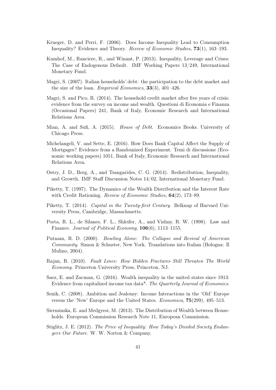- <span id="page-42-2"></span>Krueger, D. and Perri, F. (2006). Does Income Inequality Lead to Consumption Inequality? Evidence and Theory. Review of Economic Studies, 73(1), 163–193.
- <span id="page-42-6"></span>Kumhof, M., Ranciere, R., and Winant, P. (2013). Inequality, Leverage and Crises: The Case of Endogenous Default. IMF Working Papers 13/249, International Monetary Fund.
- <span id="page-42-9"></span>Magri, S. (2007). Italian households' debt: the participation to the debt market and the size of the loan. Empirical Economics,  $33(3)$ ,  $401-426$ .
- <span id="page-42-14"></span>Magri, S. and Pico, R. (2014). The household credit market after five years of crisis: evidence from the survey on income and wealth. Questioni di Economia e Finanza (Occasional Papers) 241, Bank of Italy, Economic Research and International Relations Area.
- <span id="page-42-3"></span>Mian, A. and Sufi, A. (2015). *House of Debt.* Economics Books. University of Chicago Press.
- <span id="page-42-10"></span>Michelangeli, V. and Sette, E. (2016). How Does Bank Capital Affect the Supply of Mortgages? Evidence from a Randomized Experiment. Temi di discussione (Economic working papers) 1051, Bank of Italy, Economic Research and International Relations Area.
- <span id="page-42-5"></span>Ostry, J. D., Berg, A., and Tsangarides, C. G. (2014). Redistribution, Inequality, and Growth. IMF Staff Discussion Notes 14/02, International Monetary Fund.
- <span id="page-42-11"></span>Piketty, T. (1997). The Dynamics of the Wealth Distribution and the Interest Rate with Credit Rationing. *Review of Economic Studies*, **64**(2), 173–89.
- <span id="page-42-4"></span>Piketty, T. (2014). Capital in the Twenty-first Century. Belknap of Harvard University Press, Cambridge, Massachusetts.
- <span id="page-42-0"></span>Porta, R. L., de Silanes, F. L., Shleifer, A., and Vishny, R. W. (1998). Law and Finance. *Journal of Political Economy*, **106**(6), **1113**–1155.
- <span id="page-42-12"></span>Putnam, R. D. (2000). Bowling Alone: The Collapse and Revival of American Community. Simon & Schuster, New York. Translations into Italian (Bologna: Il Mulino, 2004).
- <span id="page-42-1"></span>Rajan, R. (2010). Fault Lines: How Hidden Fractures Still Threaten The World Economy. Princeton University Press, Princeton, NJ.
- <span id="page-42-13"></span>Saez, E. and Zucman, G. (2016). Wealth inequality in the united states since 1913: Evidence from capitalized income tax data\*. The Quarterly Journal of Economics.
- <span id="page-42-8"></span>Senik, C. (2008). Ambition and Jealousy: Income Interactions in the 'Old' Europe versus the 'New' Europe and the United States. Economica, 75(299), 495–513.
- <span id="page-42-15"></span>Sierminska, E. and Medgyesi, M. (2013). The Distribution of Wealth between Households. European Commission Research Note 11, European Commission.
- <span id="page-42-7"></span>Stiglitz, J. E. (2012). The Price of Inequality: How Today's Divided Society Endangers Our Future. W. W. Norton & Company.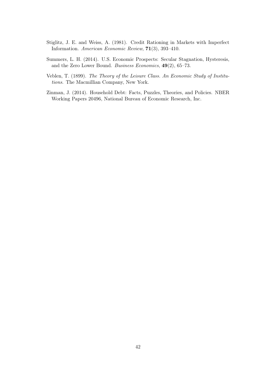- <span id="page-43-2"></span>Stiglitz, J. E. and Weiss, A. (1981). Credit Rationing in Markets with Imperfect Information. American Economic Review, 71(3), 393–410.
- <span id="page-43-1"></span>Summers, L. H. (2014). U.S. Economic Prospects: Secular Stagnation, Hysteresis, and the Zero Lower Bound. Business Economics, 49(2), 65–73.
- <span id="page-43-3"></span>Veblen, T. (1899). The Theory of the Leisure Class. An Economic Study of Institutions. The Macmillian Company, New York.
- <span id="page-43-0"></span>Zinman, J. (2014). Household Debt: Facts, Puzzles, Theories, and Policies. NBER Working Papers 20496, National Bureau of Economic Research, Inc.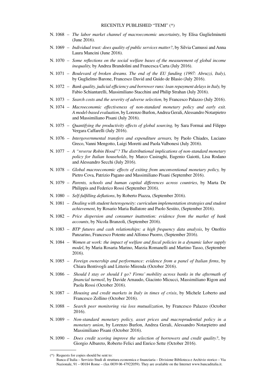- N. 1068 *The labor market channel of macroeconomic uncertainty*, by Elisa Guglielminetti (June 2016).
- N. 1069 *Individual trust: does quality of public services matter?*, by Silvia Camussi and Anna Laura Mancini (June 2016).
- N. 1070 *Some reflections on the social welfare bases of the measurement of global income inequality,* by Andrea Brandolini and Francesca Carta (July 2016).
- N. 1071 *Boulevard of broken dreams. The end of the EU funding (1997: Abruzzi, Italy),* by Guglielmo Barone, Francesco David and Guido de Blasio (July 2016).
- N. 1072 *Bank quality, judicial efficiency and borrower runs: loan repayment delays in Italy,* by Fabio Schiantarelli, Massimiliano Stacchini and Philip Strahan (July 2016).
- N. 1073 *Search costs and the severity of adverse selection,* by Francesco Palazzo (July 2016).
- N. 1074 *Macroeconomic effectiveness of non-standard monetary policy and early exit. A model-based evaluation*, by Lorenzo Burlon, Andrea Gerali, Alessandro Notarpietro and Massimiliano Pisani (July 2016).
- N. 1075 *Quantifying the productivity effects of global sourcing,* by Sara Formai and Filippo Vergara Caffarelli (July 2016).
- N. 1076 *Intergovernmental transfers and expenditure arrears,* by Paolo Chiades, Luciano Greco, Vanni Mengotto, Luigi Moretti and Paola Valbonesi (July 2016).
- N. 1077 *A "reverse Robin Hood"? The distributional implications of non-standard monetary policy for Italian households*, by Marco Casiraghi, Eugenio Gaiotti, Lisa Rodano and Alessandro Secchi (July 2016).
- N. 1078 *Global macroeconomic effects of exiting from unconventional monetary policy,* by Pietro Cova, Patrizio Pagano and Massimiliano Pisani (September 2016).
- N. 1079 *Parents, schools and human capital differences across countries*, by Marta De Philippis and Federico Rossi (September 2016).
- N. 1080 *Self-fulfilling deflations*, by Roberto Piazza, (September 2016).
- N. 1081 *Dealing with student heterogeneity: curriculum implementation strategies and student achievement*, by Rosario Maria Ballatore and Paolo Sestito, (September 2016).
- N. 1082 *Price dispersion and consumer inattention: evidence from the market of bank accounts*, by Nicola Branzoli, (September 2016).
- N. 1083 *BTP futures and cash relationships: a high frequency data analysis*, by Onofrio Panzarino, Francesco Potente and Alfonso Puorro, (September 2016).
- N. 1084 *Women at work: the impact of welfare and fiscal policies in a dynamic labor supply model*, by Maria Rosaria Marino, Marzia Romanelli and Martino Tasso, (September 2016).
- N. 1085 *Foreign ownership and performance: evidence from a panel of Italian firms*, by Chiara Bentivogli and Litterio Mirenda (October 2016).
- N. 1086 *Should I stay or should I go? Firms' mobility across banks in the aftermath of financial turmoil*, by Davide Arnaudo, Giacinto Micucci, Massimiliano Rigon and Paola Rossi (October 2016).
- N. 1087 *Housing and credit markets in Italy in times of crisis*, by Michele Loberto and Francesco Zollino (October 2016).
- N. 1088 *Search peer monitoring via loss mutualization*, by Francesco Palazzo (October 2016).
- N. 1089 *Non-standard monetary policy, asset prices and macroprudential policy in a monetary union*, by Lorenzo Burlon, Andrea Gerali, Alessandro Notarpietro and Massimiliano Pisani (October 2016).
- N. 1090 *Does credit scoring improve the selection of borrowers and credit quality?*, by Giorgio Albareto, Roberto Felici and Enrico Sette (October 2016).

<sup>(\*)</sup> Requests for copies should be sent to:

Banca d'Italia – Servizio Studi di struttura economica e finanziaria – Divisione Biblioteca e Archivio storico – Via Nazionale, 91 – 00184 Rome – (fax 0039 06 47922059). They are available on the Internet www.bancaditalia.it.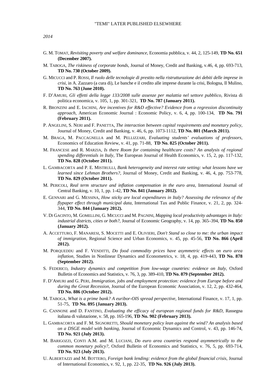*2014* 

- G. M. TOMAT, *Revisiting poverty and welfare dominance*, Economia pubblica, v. 44, 2, 125-149, **TD No. 651 (December 2007).**
- M. TABOGA, *The riskiness of corporate bonds*, Journal of Money, Credit and Banking, v.46, 4, pp. 693-713, **TD No. 730 (October 2009).**
- G. MICUCCI and P. ROSSI, *Il ruolo delle tecnologie di prestito nella ristrutturazione dei debiti delle imprese in crisi*, in A. Zazzaro (a cura di), Le banche e il credito alle imprese durante la crisi, Bologna, Il Mulino, **TD No. 763 (June 2010).**
- F. D'AMURI, *Gli effetti della legge 133/2008 sulle assenze per malattia nel settore pubblico,* Rivista di politica economica, v. 105, 1, pp. 301-321,**TD No. 787 (January 2011).**
- R. BRONZINI and E. IACHINI, *Are incentives for R&D effective? Evidence from a regression discontinuity approach,* American Economic Journal : Economic Policy, v. 6, 4, pp. 100-134,**TD No. 791 (February 2011).**
- P. ANGELINI, S. NERI and F. PANETTA, *The interaction between capital requirements and monetary policy*, Journal of Money, Credit and Banking, v. 46, 6, pp. 1073-1112, **TD No. 801 (March 2011).**
- M. BRAGA, M. PACCAGNELLA and M. PELLIZZARI, *Evaluating students' evaluations of professors,* Economics of Education Review, v. 41, pp. 71-88,**TD No. 825 (October 2011).**
- M. FRANCESE and R. MARZIA, *Is there Room for containing healthcare costs? An analysis of regional spending differentials in Italy,* The European Journal of Health Economics, v. 15, 2, pp. 117-132, **TD No. 828 (October 2011).**
- L. GAMBACORTA and P. E. MISTRULLI, *Bank heterogeneity and interest rate setting: what lessons have we learned since Lehman Brothers?,* Journal of Money, Credit and Banking, v. 46, 4, pp. 753-778, **TD No. 829 (October 2011).**
- M. PERICOLI, *Real term structure and inflation compensation in the euro area*, International Journal of Central Banking, v. 10, 1, pp. 1-42, **TD No. 841 (January 2012).**
- E. GENNARI and G. MESSINA, *How sticky are local expenditures in Italy? Assessing the relevance of the flypaper effect through municipal data,* International Tax and Public Finance, v. 21, 2, pp. 324- 344, **TD No. 844 (January 2012).**
- V. DI GACINTO, M. GOMELLINI, G. MICUCCI and M. PAGNINI, *Mapping local productivity advantages in Italy: industrial districts, cities or both?*, Journal of Economic Geography, v. 14, pp. 365–394, **TD No. 850 (January 2012).**
- A. ACCETTURO, F. MANARESI, S. MOCETTI and E. OLIVIERI, *Don't Stand so close to me: the urban impact of immigration,* Regional Science and Urban Economics, v. 45, pp. 45-56, **TD No. 866 (April 2012).**
- M. PORQUEDDU and F. VENDITTI, *Do food commodity prices have asymmetric effects on euro area inflation,* Studies in Nonlinear Dynamics and Econometrics, v. 18, 4, pp. 419-443, **TD No. 878 (September 2012).**
- S. FEDERICO, *Industry dynamics and competition from low-wage countries: evidence on Italy*, Oxford Bulletin of Economics and Statistics, v. 76, 3, pp. 389-410, **TD No. 879 (September 2012).**
- F. D'AMURI and G. PERI, *Immigration, jobs and employment protection: evidence from Europe before and during the Great Recession,* Journal of the European Economic Association, v. 12, 2, pp. 432-464, **TD No. 886 (October 2012).**
- M. TABOGA, *What is a prime bank? A euribor-OIS spread perspective,* International Finance, v. 17, 1, pp. 51-75,**TD No. 895 (January 2013).**
- G. CANNONE and D. FANTINO, *Evaluating the efficacy of european regional funds for R&D,* Rassegna italiana di valutazione, v. 58, pp. 165-196, **TD No. 902 (February 2013).**
- L. GAMBACORTA and F. M. SIGNORETTI, *Should monetary policy lean against the wind? An analysis based on a DSGE model with banking,* Journal of Economic Dynamics and Control, v. 43, pp. 146-74, **TD No. 921 (July 2013).**
- M. BARIGOZZI, CONTI A.M. and M. LUCIANI, *Do euro area countries respond asymmetrically to the common monetary policy?,* Oxford Bulletin of Economics and Statistics, v. 76, 5, pp. 693-714, **TD No. 923 (July 2013).**
- U. ALBERTAZZI and M. BOTTERO, *Foreign bank lending: evidence from the global financial crisis,* Journal of International Economics, v. 92, 1, pp. 22-35,**TD No. 926 (July 2013).**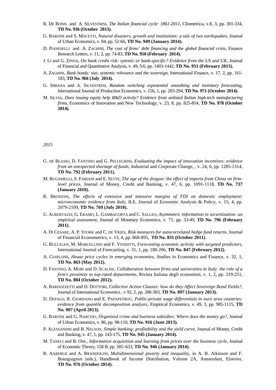- R. DE BONIS and A. SILVESTRINI, *The Italian financial cycle: 1861-2011,* Cliometrica, v.8, 3, pp. 301-334, **TD No. 936 (October 2013).**
- G. BARONE and S. MOCETTI, *Natural disasters, growth and institutions: a tale of two earthquakes,* Journal of Urban Economics, v. 84, pp. 52-66, **TD No. 949 (January 2014).**
- D. PIANESELLI and A. ZAGHINI, *The cost of firms' debt financing and the global financial crisis,* Finance Research Letters, v. 11, 2, pp. 74-83, **TD No. 950 (February 2014).**
- J. LI and G. ZINNA, *On bank credit risk: sytemic or bank-specific? Evidence from the US and UK,* Journal of Financial and Quantitative Analysis, v. 49, 5/6, pp. 1403-1442, **TD No. 951 (February 2015).**
- A. ZAGHINI, *Bank bonds: size, systemic relevance and the sovereign,* International Finance, v. 17, 2, pp. 161- 183, **TD No. 966 (July 2014).**
- G. SBRANA and A. SILVESTRINI, *Random switching exponential smoothing and inventory forecasting,* International Journal of Production Economics, v. 156, 1, pp. 283-294, **TD No. 971 (October 2014).**
- M. SILVIA, *Does issuing equity help R&D activity? Evidence from unlisted Italian high-tech manufacturing firms,* Economics of Innovation and New Technology, v. 23, 8, pp. 825-854, **TD No. 978 (October 2014).**

*2015* 

- G. DE BLASIO, D. FANTINO and G. PELLEGRINI, *Evaluating the impact of innovation incentives: evidence from an unexpected shortage of funds,* Industrial and Corporate Change, , v. 24, 6, pp. 1285-1314, **TD No. 792 (February 2011).**
- M. BUGAMELLI, S. FABIANI and E. SETTE, *The age of the dragon: the effect of imports from China on firmlevel prices*, Journal of Money, Credit and Banking, v. 47, 6, pp. 1091-1118, **TD No. 737 (January 2010).**
- R. BRONZINI, *The effects of extensive and intensive margins of FDI on domestic employment: microeconomic evidence from Italy*, B.E. Journal of Economic Analysis & Policy, v. 15, 4, pp. 2079-2109, **TD No. 769 (July 2010).**
- U. ALBERTAZZI, G. ERAMO, L. GAMBACORTA and C. SALLEO, *Asymmetric information in securitization: an empirical assessment*, Journal of Monetary Economics, v. 71, pp. 33-49, **TD No. 796 (February 2011).**
- A. DI CESARE, A. P. STORK and C. DE VRIES, *Risk measures for autocorrelated hedge fund returns,* Journal of Financial Econometrics, v. 13, 4, pp. 868-895,**TD No. 831 (October 2011).**
- G. BULLIGAN, M. MARCELLINO and F. VENDITTI, *Forecasting economic activity with targeted predictors,* International Journal of Forecasting, v. 31, 1, pp. 188-206, **TD No. 847 (February 2012).**
- A. CIARLONE, *House price cycles in emerging economies,* Studies in Economics and Finance, v. 32, 1, **TD No. 863 (May 2012).**
- D. FANTINO, A. MORI and D. SCALISE, *Collaboration between firms and universities in Italy: the role of a firm's proximity to top-rated departments,* Rivista Italiana degli economisti, v. 1, 2, pp. 219-251, **TD No. 884 (October 2012).**
- A. BARDOZZETTI and D. DOTTORI, *Collective Action Clauses: how do they Affect Sovereign Bond Yields?,* Journal of International Economics , v 92, 2, pp. 286-303, **TD No. 897 (January 2013).**
- D. DEPALO, R. GIORDANO and E. PAPAPETROU, *Public-private wage differentials in euro area countries: evidence from quantile decomposition analysis,* Empirical Economics, v. 49, 3, pp. 985-1115, **TD No. 907 (April 2013).**
- G. BARONE and G. NARCISO, *Organized crime and business subsidies: Where does the money go?,* Journal of Urban Economics, v. 86, pp. 98-110, **TD No. 916 (June 2013).**
- P. ALESSANDRI and B. NELSON, *Simple banking: profitability and the yield curve,* Journal of Money, Credit and Banking, v. 47, 1, pp. 143-175, **TD No. 945 (January 2014).**
- M. TANELI and B. OHL, *Information acquisition and learning from prices over the business cycle,* Journal of Economic Theory, 158 B, pp. 585–633, **TD No. 946 (January 2014).**
- R. AABERGE and A. BRANDOLINI, *Multidimensional poverty and inequality,* in A. B. Atkinson and F. Bourguignon (eds.), Handbook of Income Distribution, Volume 2A, Amsterdam, Elsevier, **TD No. 976 (October 2014).**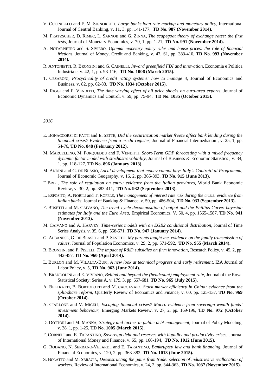- V. CUCINIELLO and F. M. SIGNORETTI, *Large banks,loan rate markup and monetary policy,* International Journal of Central Banking, v. 11, 3, pp. 141-177,**TD No. 987 (November 2014).**
- M. FRATZSCHER, D. RIMEC, L. SARNOB and G. ZINNA, *The scapegoat theory of exchange rates: the first tests,* Journal of Monetary Economics, v. 70, 1, pp. 1-21, **TD No. 991 (November 2014).**
- A. NOTARPIETRO and S. SIVIERO, *Optimal monetary policy rules and house prices: the role of financial frictions,* Journal of Money, Credit and Banking, v. 47, S1, pp. 383-410, **TD No. 993 (November 2014).**
- R. ANTONIETTI, R. BRONZINI and G. CAINELLI, *Inward greenfield FDI and innovation,* Economia e Politica Industriale, v. 42, 1, pp. 93-116,**TD No. 1006 (March 2015).**
- T. CESARONI, *Procyclicality of credit rating systems: how to manage it,* Journal of Economics and Business, v. 82. pp. 62-83,**TD No. 1034 (October 2015).**
- M. RIGGI and F. VENDITTI, *The time varying effect of oil price shocks on euro-area exports,* Journal of Economic Dynamics and Control, v. 59, pp. 75-94,**TD No. 1035 (October 2015).**

#### *2016*

- E. BONACCORSI DI PATTI and E. SETTE, *Did the securitization market freeze affect bank lending during the financial crisis? Evidence from a credit register,* Journal of Financial Intermediation , v. 25, 1, pp. 54-76, **TD No. 848 (February 2012).**
- M. MARCELLINO, M. PORQUEDDU and F. VENDITTI, *Short-Term GDP forecasting with a mixed frequency dynamic factor model with stochastic volatility,* Journal of Business & Economic Statistics , v. 34, 1, pp. 118-127, **TD No. 896 (January 2013).**
- M. ANDINI and G. DE BLASIO, *Local development that money cannot buy: Italy's Contratti di Programma,* Journal of Economic Geography, v. 16, 2, pp. 365-393, **TD No. 915 (June 2013).**
- F BRIPI, *The role of regulation on entry: evidence from the Italian provinces,* World Bank Economic Review, v. 30, 2, pp. 383-411,**TD No. 932 (September 2013).**
- L. ESPOSITO, A. NOBILI and T. ROPELE, *The management of interest rate risk during the crisis: evidence from Italian banks,* Journal of Banking & Finance, v. 59, pp. 486-504,**TD No. 933 (September 2013).**
- F. BUSETTI and M. CAIVANO, *The trend–cycle decomposition of output and the Phillips Curve: bayesian estimates for Italy and the Euro Area,* Empirical Economics, V. 50, 4, pp. 1565-1587, **TD No. 941 (November 2013).**
- M. CAIVANO and A. HARVEY, *Time-series models with an EGB2 conditional distribution,* Journal of Time Series Analysis, v. 35, 6, pp. 558-571, **TD No. 947 (January 2014).**
- G. ALBANESE, G. DE BLASIO and P. SESTITO, *My parents taught me. evidence on the family transmission of values,* Journal of Population Economics, v. 29, 2, pp. 571-592,**TD No. 955 (March 2014).**
- R. BRONZINI and P. PISELLI, *The impact of R&D subsidies on firm innovation,* Research Policy, v. 45, 2, pp. 442-457, **TD No. 960 (April 2014).**
- L. BURLON and M. VILALTA-BUFI, *A new look at technical progress and early retirement,* IZA Journal of Labor Policy, v. 5, **TD No. 963 (June 2014).**
- A. BRANDOLINI and E. VIVIANO, *Behind and beyond the (headcount) employment rate,* Journal of the Royal Statistical Society: Series A, v. 179, 3, pp. 657-681, **TD No. 965 (July 2015).**
- A. BELTRATTI, B. BORTOLOTTI and M. CACCAVAIO, *Stock market efficiency in China: evidence from the split-share reform,* Quarterly Review of Economics and Finance, v. 60, pp. 125-137, **TD No. 969 (October 2014).**
- A. CIARLONE and V. MICELI, *Escaping financial crises? Macro evidence from sovereign wealth funds' investment behaviour,* Emerging Markets Review, v. 27, 2, pp. 169-196, **TD No. 972 (October 2014).**
- D. DOTTORI and M. MANNA, *Strategy and tactics in public debt management,* Journal of Policy Modeling, v. 38, 1, pp. 1-25, **TD No. 1005 (March 2015).**
- F. CORNELI and E. TARANTINO, *Sovereign debt and reserves with liquidity and productivity crises,* Journal of International Money and Finance, v. 65, pp. 166-194,**TD No. 1012 (June 2015).**
- G. RODANO, N. SERRANO-VELARDE and E. TARANTINO, *Bankruptcy law and bank financing,* Journal of Financial Economics, v. 120, 2, pp. 363-382, **TD No. 1013 (June 2015).**
- S. BOLATTO and M. SBRACIA, *Deconstructing the gains from trade: selection of industries vs reallocation of workers,* Review of International Economics, v. 24, 2, pp. 344-363, **TD No. 1037 (November 2015).**